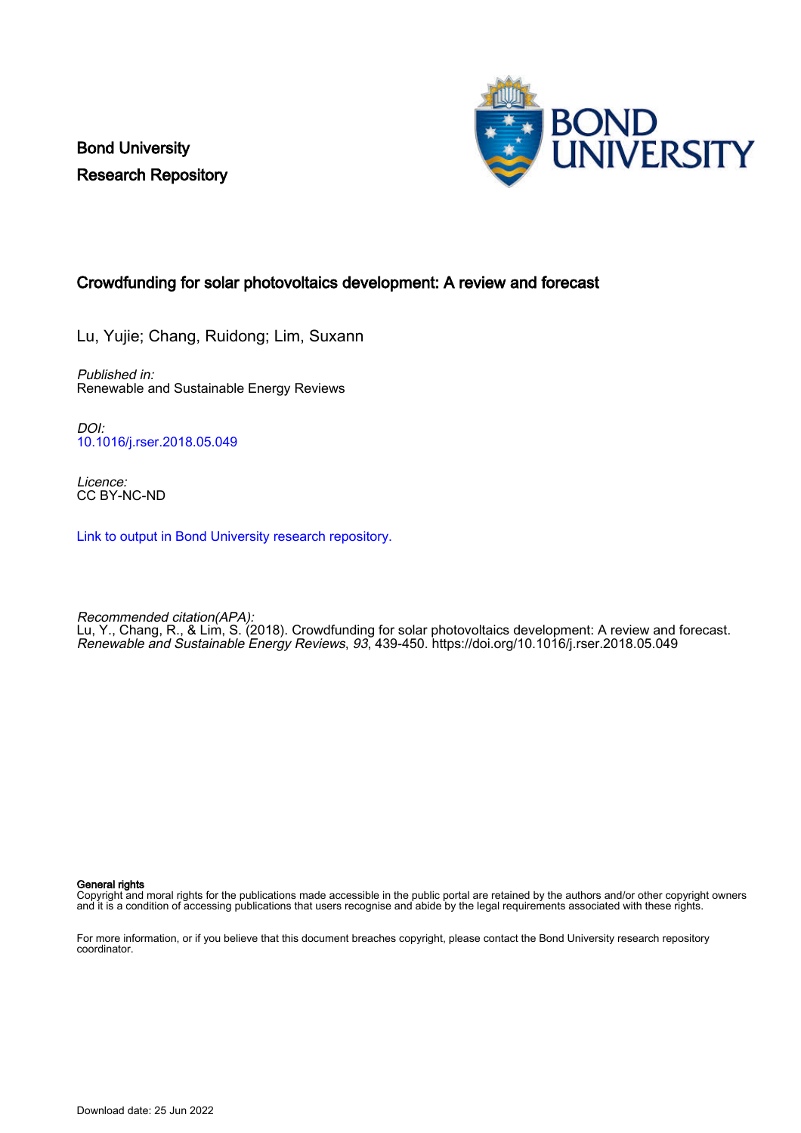Bond University Research Repository



# Crowdfunding for solar photovoltaics development: A review and forecast

Lu, Yujie; Chang, Ruidong; Lim, Suxann

Published in: Renewable and Sustainable Energy Reviews

DOI: [10.1016/j.rser.2018.05.049](https://doi.org/10.1016/j.rser.2018.05.049)

Licence: CC BY-NC-ND

[Link to output in Bond University research repository.](https://research.bond.edu.au/en/publications/c4e08e5e-e367-43f6-9eb0-a22367cb5aef)

Recommended citation(APA): Lu, Y., Chang, R., & Lim, S. (2018). Crowdfunding for solar photovoltaics development: A review and forecast. Renewable and Sustainable Energy Reviews, 93, 439-450. <https://doi.org/10.1016/j.rser.2018.05.049>

General rights

Copyright and moral rights for the publications made accessible in the public portal are retained by the authors and/or other copyright owners and it is a condition of accessing publications that users recognise and abide by the legal requirements associated with these rights.

For more information, or if you believe that this document breaches copyright, please contact the Bond University research repository coordinator.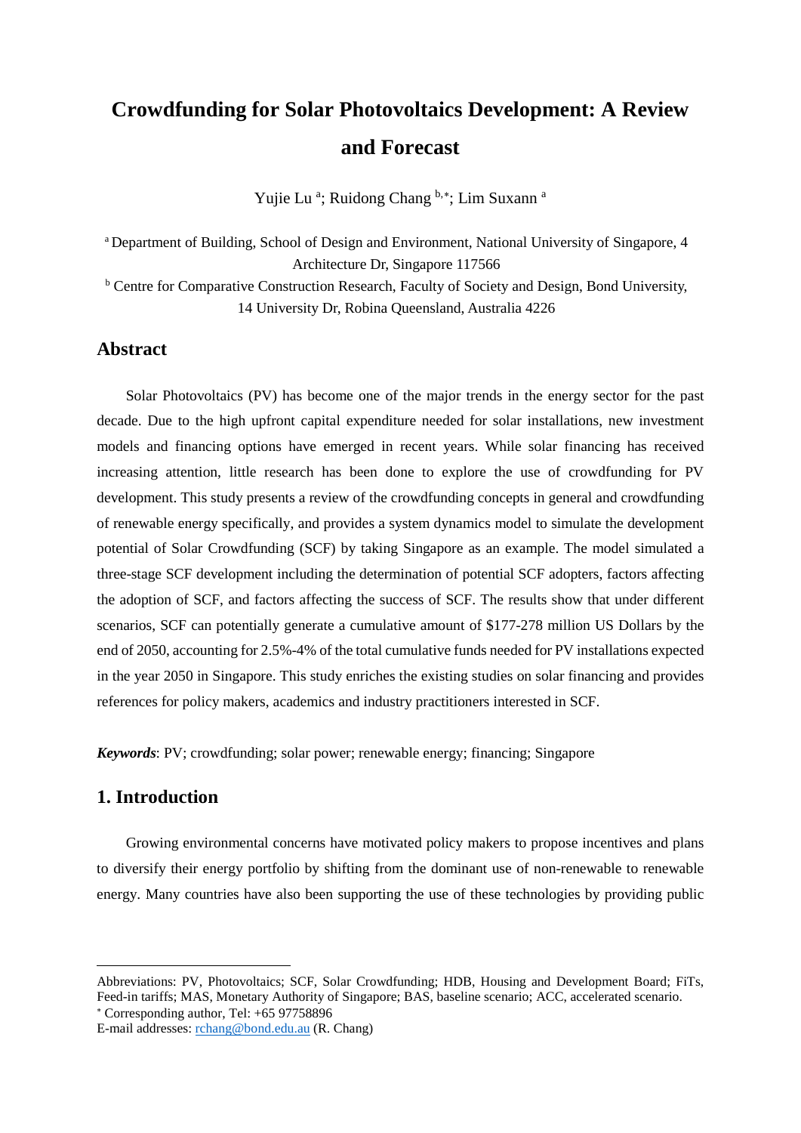# **Crowdfunding for Solar Photovoltaics Development: A Review and Forecast**

Yujie Lu<sup>a</sup>; Ruidong Chang <sup>b,\*</sup>; Lim Suxann<sup>a</sup>

<sup>a</sup> Department of Building, School of Design and Environment, National University of Singapore, 4 Architecture Dr, Singapore 117566

<sup>b</sup> Centre for Comparative Construction Research, Faculty of Society and Design, Bond University, 14 University Dr, Robina Queensland, Australia 4226

# **Abstract**

Solar Photovoltaics (PV) has become one of the major trends in the energy sector for the past decade. Due to the high upfront capital expenditure needed for solar installations, new investment models and financing options have emerged in recent years. While solar financing has received increasing attention, little research has been done to explore the use of crowdfunding for PV development. This study presents a review of the crowdfunding concepts in general and crowdfunding of renewable energy specifically, and provides a system dynamics model to simulate the development potential of Solar Crowdfunding (SCF) by taking Singapore as an example. The model simulated a three-stage SCF development including the determination of potential SCF adopters, factors affecting the adoption of SCF, and factors affecting the success of SCF. The results show that under different scenarios, SCF can potentially generate a cumulative amount of \$177-278 million US Dollars by the end of 2050, accounting for 2.5%-4% of the total cumulative funds needed for PV installations expected in the year 2050 in Singapore. This study enriches the existing studies on solar financing and provides references for policy makers, academics and industry practitioners interested in SCF.

*Keywords*: PV; crowdfunding; solar power; renewable energy; financing; Singapore

# **1. Introduction**

 $\overline{\phantom{a}}$ 

Growing environmental concerns have motivated policy makers to propose incentives and plans to diversify their energy portfolio by shifting from the dominant use of non-renewable to renewable energy. Many countries have also been supporting the use of these technologies by providing public

<sup>∗</sup> Corresponding author, Tel: +65 97758896

<span id="page-1-0"></span>Abbreviations: PV, Photovoltaics; SCF, Solar Crowdfunding; HDB, Housing and Development Board; FiTs, Feed-in tariffs; MAS, Monetary Authority of Singapore; BAS, baseline scenario; ACC, accelerated scenario.

E-mail addresses: [rchang@bond.edu.au](mailto:rchang@bond.edu.au) (R. Chang)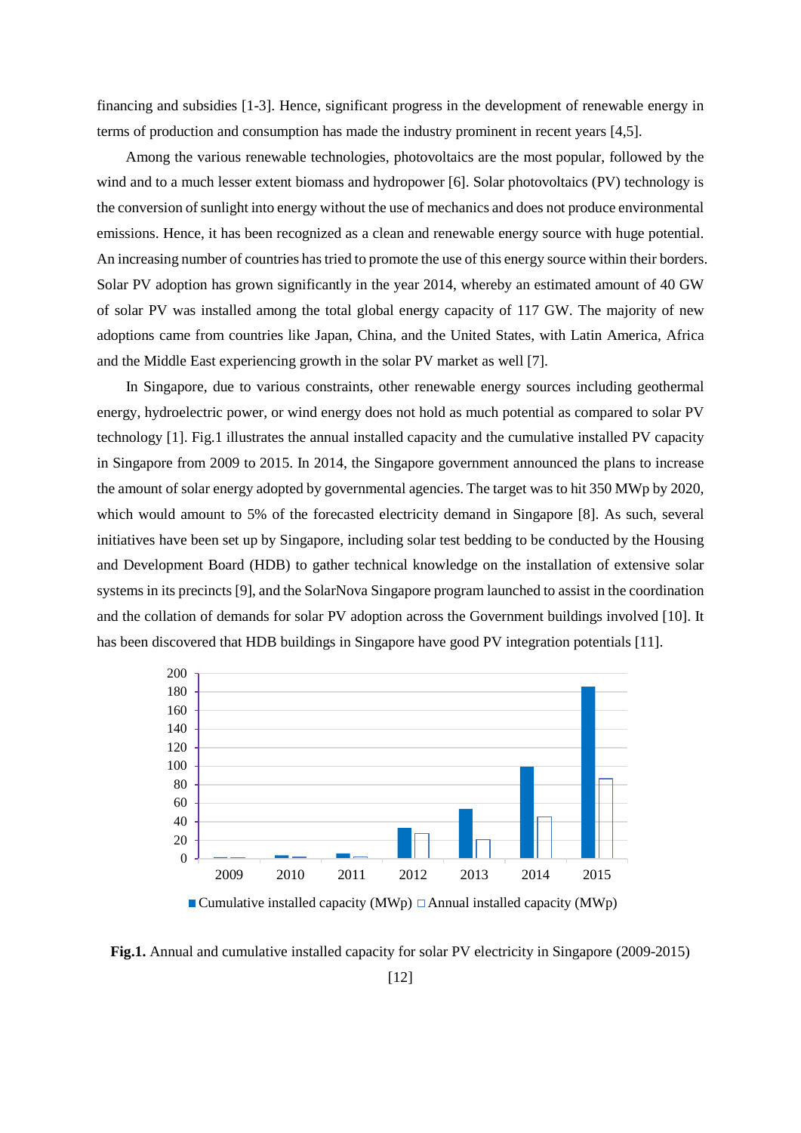financing and subsidies [1-3]. Hence, significant progress in the development of renewable energy in terms of production and consumption has made the industry prominent in recent years [4,5].

Among the various renewable technologies, photovoltaics are the most popular, followed by the wind and to a much lesser extent biomass and hydropower [6]. Solar photovoltaics (PV) technology is the conversion of sunlight into energy without the use of mechanics and does not produce environmental emissions. Hence, it has been recognized as a clean and renewable energy source with huge potential. An increasing number of countries has tried to promote the use of this energy source within their borders. Solar PV adoption has grown significantly in the year 2014, whereby an estimated amount of 40 GW of solar PV was installed among the total global energy capacity of 117 GW. The majority of new adoptions came from countries like Japan, China, and the United States, with Latin America, Africa and the Middle East experiencing growth in the solar PV market as well [7].

In Singapore, due to various constraints, other renewable energy sources including geothermal energy, hydroelectric power, or wind energy does not hold as much potential as compared to solar PV technology [1]. Fig.1 illustrates the annual installed capacity and the cumulative installed PV capacity in Singapore from 2009 to 2015. In 2014, the Singapore government announced the plans to increase the amount of solar energy adopted by governmental agencies. The target was to hit 350 MWp by 2020, which would amount to 5% of the forecasted electricity demand in Singapore [8]. As such, several initiatives have been set up by Singapore, including solar test bedding to be conducted by the Housing and Development Board (HDB) to gather technical knowledge on the installation of extensive solar systems in its precincts [9], and the SolarNova Singapore program launched to assist in the coordination and the collation of demands for solar PV adoption across the Government buildings involved [10]. It has been discovered that HDB buildings in Singapore have good PV integration potentials [11].



**Fig.1.** Annual and cumulative installed capacity for solar PV electricity in Singapore (2009-2015)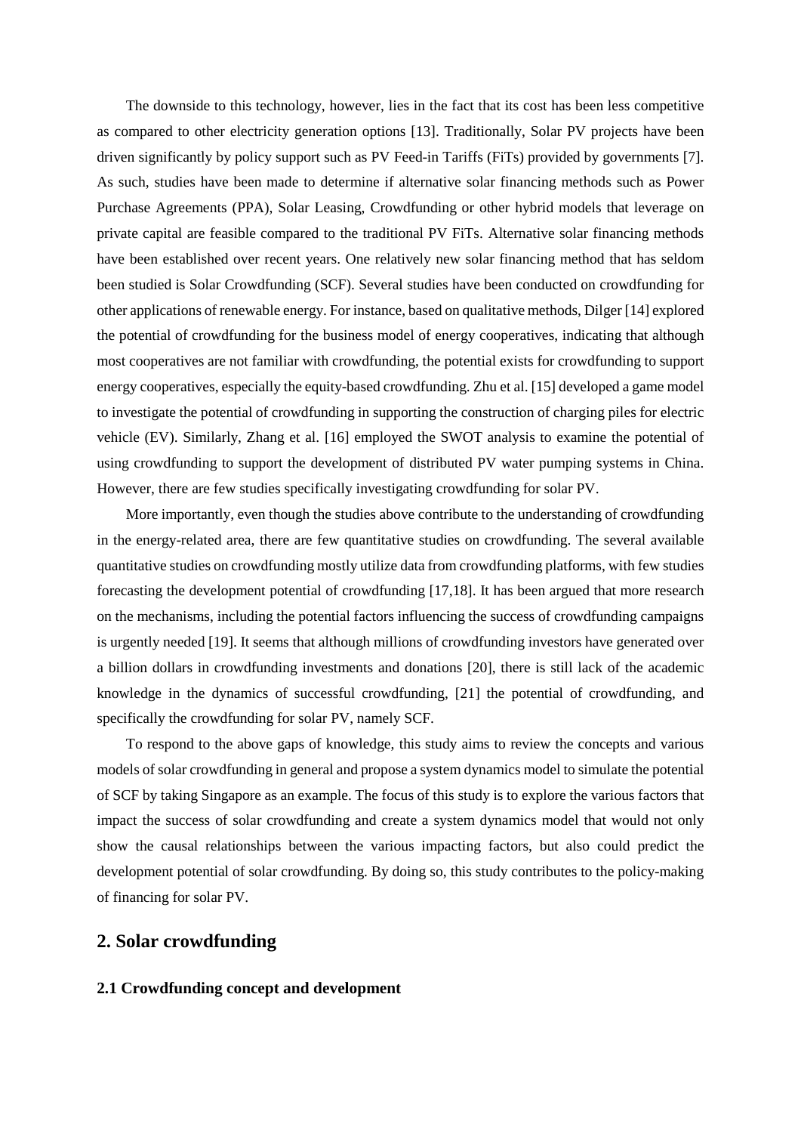The downside to this technology, however, lies in the fact that its cost has been less competitive as compared to other electricity generation options [13]. Traditionally, Solar PV projects have been driven significantly by policy support such as PV Feed-in Tariffs (FiTs) provided by governments [7]. As such, studies have been made to determine if alternative solar financing methods such as Power Purchase Agreements (PPA), Solar Leasing, Crowdfunding or other hybrid models that leverage on private capital are feasible compared to the traditional PV FiTs. Alternative solar financing methods have been established over recent years. One relatively new solar financing method that has seldom been studied is Solar Crowdfunding (SCF). Several studies have been conducted on crowdfunding for other applications of renewable energy. For instance, based on qualitative methods, Dilger [14] explored the potential of crowdfunding for the business model of energy cooperatives, indicating that although most cooperatives are not familiar with crowdfunding, the potential exists for crowdfunding to support energy cooperatives, especially the equity-based crowdfunding. Zhu et al. [15] developed a game model to investigate the potential of crowdfunding in supporting the construction of charging piles for electric vehicle (EV). Similarly, Zhang et al. [16] employed the SWOT analysis to examine the potential of using crowdfunding to support the development of distributed PV water pumping systems in China. However, there are few studies specifically investigating crowdfunding for solar PV.

More importantly, even though the studies above contribute to the understanding of crowdfunding in the energy-related area, there are few quantitative studies on crowdfunding. The several available quantitative studies on crowdfunding mostly utilize data from crowdfunding platforms, with few studies forecasting the development potential of crowdfunding [17,18]. It has been argued that more research on the mechanisms, including the potential factors influencing the success of crowdfunding campaigns is urgently needed [19]. It seems that although millions of crowdfunding investors have generated over a billion dollars in crowdfunding investments and donations [20], there is still lack of the academic knowledge in the dynamics of successful crowdfunding, [21] the potential of crowdfunding, and specifically the crowdfunding for solar PV, namely SCF.

To respond to the above gaps of knowledge, this study aims to review the concepts and various models of solar crowdfunding in general and propose a system dynamics model to simulate the potential of SCF by taking Singapore as an example. The focus of this study is to explore the various factors that impact the success of solar crowdfunding and create a system dynamics model that would not only show the causal relationships between the various impacting factors, but also could predict the development potential of solar crowdfunding. By doing so, this study contributes to the policy-making of financing for solar PV.

## **2. Solar crowdfunding**

#### **2.1 Crowdfunding concept and development**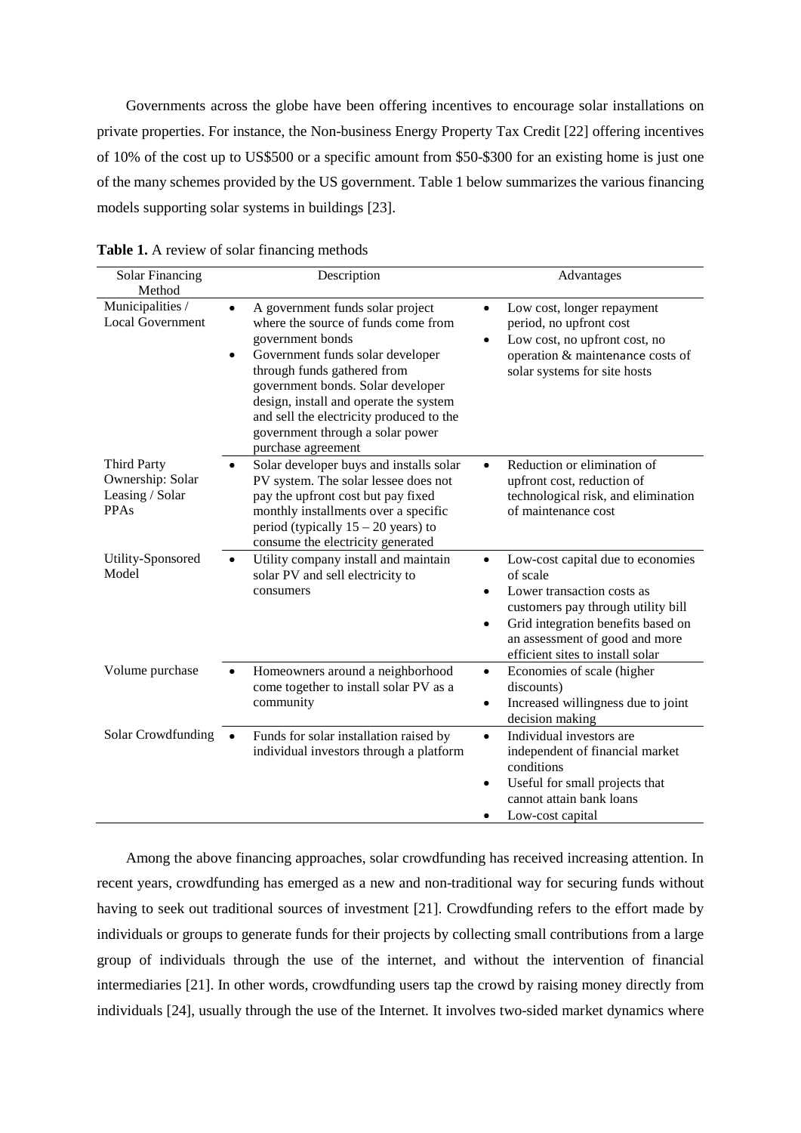Governments across the globe have been offering incentives to encourage solar installations on private properties. For instance, the Non-business Energy Property Tax Credit [22] offering incentives of 10% of the cost up to US\$500 or a specific amount from \$50-\$300 for an existing home is just one of the many schemes provided by the US government. Table 1 below summarizes the various financing models supporting solar systems in buildings [23].

| <b>Solar Financing</b>                                            | Description                                                                                                                                                                                                                                                                                                                                                      | Advantages                                                                                                                                                                                                                                                   |
|-------------------------------------------------------------------|------------------------------------------------------------------------------------------------------------------------------------------------------------------------------------------------------------------------------------------------------------------------------------------------------------------------------------------------------------------|--------------------------------------------------------------------------------------------------------------------------------------------------------------------------------------------------------------------------------------------------------------|
| Method                                                            |                                                                                                                                                                                                                                                                                                                                                                  |                                                                                                                                                                                                                                                              |
| Municipalities /<br><b>Local Government</b>                       | A government funds solar project<br>$\bullet$<br>where the source of funds come from<br>government bonds<br>Government funds solar developer<br>through funds gathered from<br>government bonds. Solar developer<br>design, install and operate the system<br>and sell the electricity produced to the<br>government through a solar power<br>purchase agreement | Low cost, longer repayment<br>$\bullet$<br>period, no upfront cost<br>Low cost, no upfront cost, no<br>$\bullet$<br>operation & maintenance costs of<br>solar systems for site hosts                                                                         |
| <b>Third Party</b><br>Ownership: Solar<br>Leasing / Solar<br>PPAs | Solar developer buys and installs solar<br>PV system. The solar lessee does not<br>pay the upfront cost but pay fixed<br>monthly installments over a specific<br>period (typically $15 - 20$ years) to<br>consume the electricity generated                                                                                                                      | Reduction or elimination of<br>$\bullet$<br>upfront cost, reduction of<br>technological risk, and elimination<br>of maintenance cost                                                                                                                         |
| Utility-Sponsored<br>Model                                        | Utility company install and maintain<br>solar PV and sell electricity to<br>consumers                                                                                                                                                                                                                                                                            | Low-cost capital due to economies<br>$\bullet$<br>of scale<br>Lower transaction costs as<br>$\bullet$<br>customers pay through utility bill<br>Grid integration benefits based on<br>٠<br>an assessment of good and more<br>efficient sites to install solar |
| Volume purchase                                                   | Homeowners around a neighborhood<br>come together to install solar PV as a<br>community                                                                                                                                                                                                                                                                          | Economies of scale (higher<br>$\bullet$<br>discounts)<br>Increased willingness due to joint<br>$\bullet$<br>decision making                                                                                                                                  |
| Solar Crowdfunding                                                | Funds for solar installation raised by<br>individual investors through a platform                                                                                                                                                                                                                                                                                | Individual investors are<br>$\bullet$<br>independent of financial market<br>conditions<br>Useful for small projects that<br>$\bullet$<br>cannot attain bank loans<br>Low-cost capital                                                                        |

**Table 1.** A review of solar financing methods

Among the above financing approaches, solar crowdfunding has received increasing attention. In recent years, crowdfunding has emerged as a new and non-traditional way for securing funds without having to seek out traditional sources of investment [21]. Crowdfunding refers to the effort made by individuals or groups to generate funds for their projects by collecting small contributions from a large group of individuals through the use of the internet, and without the intervention of financial intermediaries [21]. In other words, crowdfunding users tap the crowd by raising money directly from individuals [24], usually through the use of the Internet. It involves two-sided market dynamics where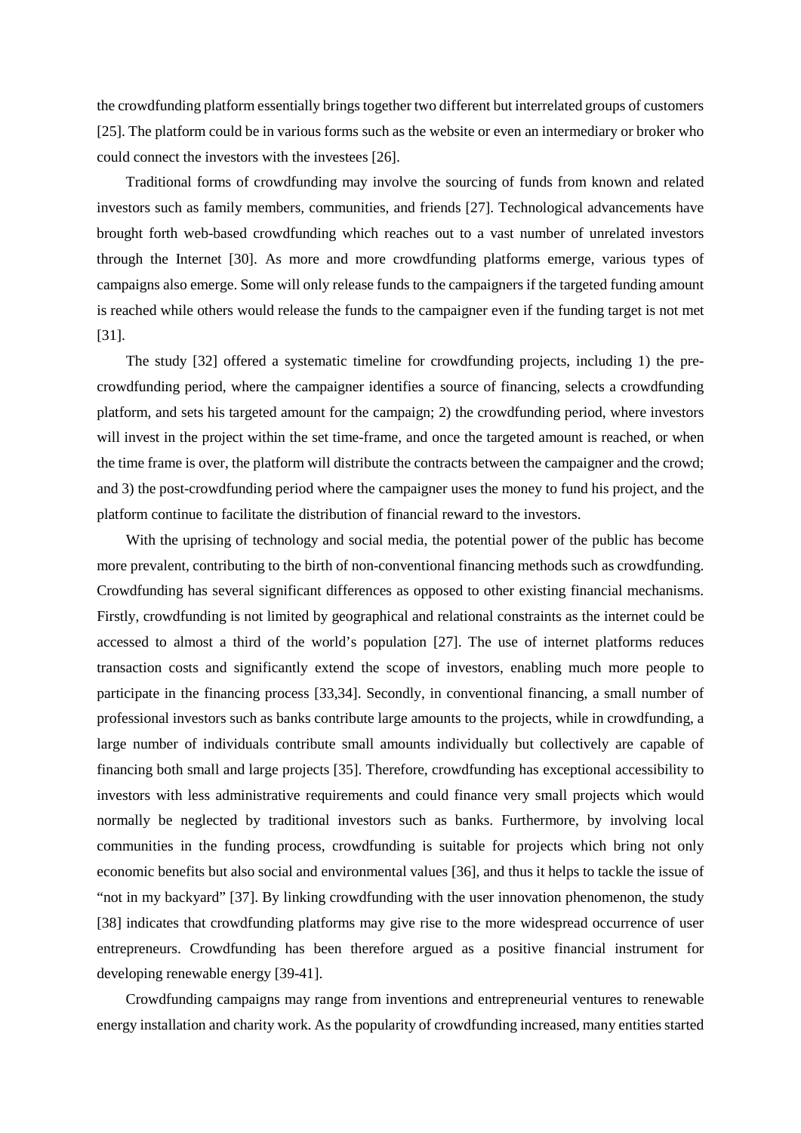the crowdfunding platform essentially brings together two different but interrelated groups of customers [25]. The platform could be in various forms such as the website or even an intermediary or broker who could connect the investors with the investees [26].

Traditional forms of crowdfunding may involve the sourcing of funds from known and related investors such as family members, communities, and friends [27]. Technological advancements have brought forth web-based crowdfunding which reaches out to a vast number of unrelated investors through the Internet [30]. As more and more crowdfunding platforms emerge, various types of campaigns also emerge. Some will only release funds to the campaigners if the targeted funding amount is reached while others would release the funds to the campaigner even if the funding target is not met [31].

The study [32] offered a systematic timeline for crowdfunding projects, including 1) the precrowdfunding period, where the campaigner identifies a source of financing, selects a crowdfunding platform, and sets his targeted amount for the campaign; 2) the crowdfunding period, where investors will invest in the project within the set time-frame, and once the targeted amount is reached, or when the time frame is over, the platform will distribute the contracts between the campaigner and the crowd; and 3) the post-crowdfunding period where the campaigner uses the money to fund his project, and the platform continue to facilitate the distribution of financial reward to the investors.

With the uprising of technology and social media, the potential power of the public has become more prevalent, contributing to the birth of non-conventional financing methods such as crowdfunding. Crowdfunding has several significant differences as opposed to other existing financial mechanisms. Firstly, crowdfunding is not limited by geographical and relational constraints as the internet could be accessed to almost a third of the world's population [27]. The use of internet platforms reduces transaction costs and significantly extend the scope of investors, enabling much more people to participate in the financing process [33,34]. Secondly, in conventional financing, a small number of professional investors such as banks contribute large amounts to the projects, while in crowdfunding, a large number of individuals contribute small amounts individually but collectively are capable of financing both small and large projects [35]. Therefore, crowdfunding has exceptional accessibility to investors with less administrative requirements and could finance very small projects which would normally be neglected by traditional investors such as banks. Furthermore, by involving local communities in the funding process, crowdfunding is suitable for projects which bring not only economic benefits but also social and environmental values [36], and thus it helps to tackle the issue of "not in my backyard" [37]. By linking crowdfunding with the user innovation phenomenon, the study [38] indicates that crowdfunding platforms may give rise to the more widespread occurrence of user entrepreneurs. Crowdfunding has been therefore argued as a positive financial instrument for developing renewable energy [39-41].

Crowdfunding campaigns may range from inventions and entrepreneurial ventures to renewable energy installation and charity work. As the popularity of crowdfunding increased, many entities started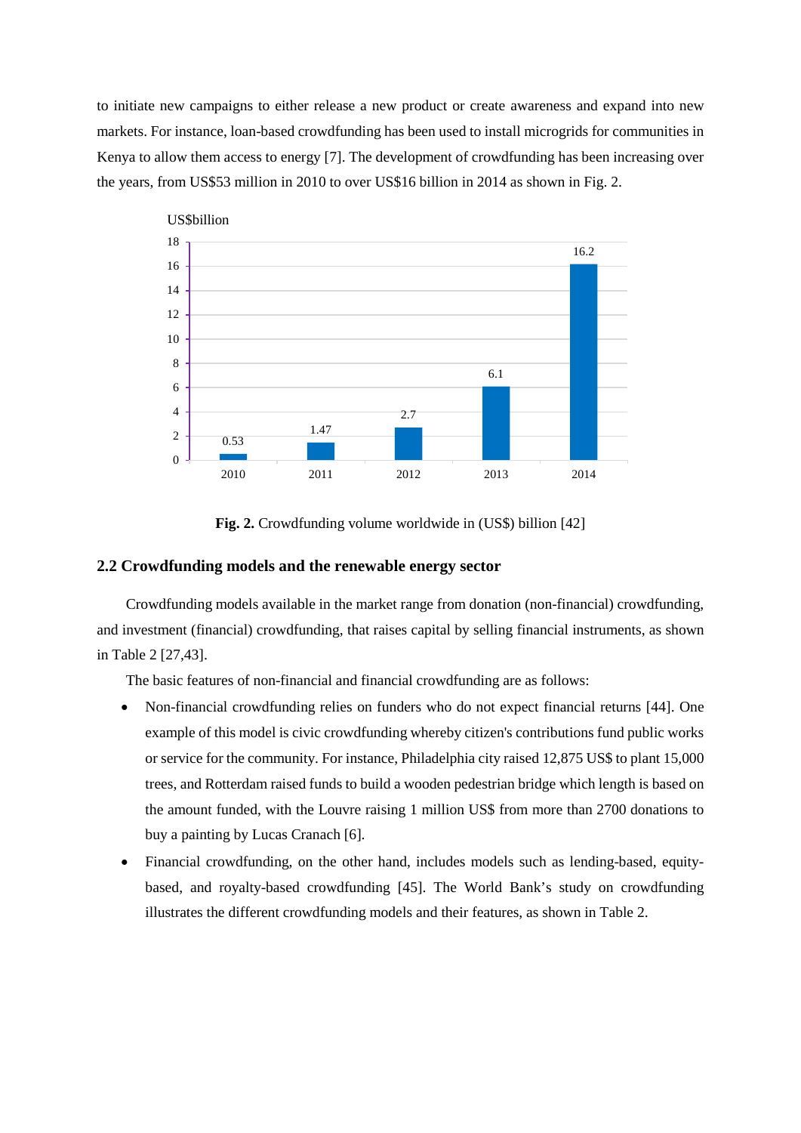to initiate new campaigns to either release a new product or create awareness and expand into new markets. For instance, loan-based crowdfunding has been used to install microgrids for communities in Kenya to allow them access to energy [7]. The development of crowdfunding has been increasing over the years, from US\$53 million in 2010 to over US\$16 billion in 2014 as shown in Fig. 2.



**Fig. 2.** Crowdfunding volume worldwide in (US\$) billion [42]

#### **2.2 Crowdfunding models and the renewable energy sector**

Crowdfunding models available in the market range from donation (non-financial) crowdfunding, and investment (financial) crowdfunding, that raises capital by selling financial instruments, as shown in Table 2 [27,43].

The basic features of non-financial and financial crowdfunding are as follows:

- Non-financial crowdfunding relies on funders who do not expect financial returns [44]. One example of this model is civic crowdfunding whereby citizen's contributions fund public works or service for the community. For instance, Philadelphia city raised 12,875 US\$ to plant 15,000 trees, and Rotterdam raised funds to build a wooden pedestrian bridge which length is based on the amount funded, with the Louvre raising 1 million US\$ from more than 2700 donations to buy a painting by Lucas Cranach [6].
- Financial crowdfunding, on the other hand, includes models such as lending-based, equitybased, and royalty-based crowdfunding [45]. The World Bank's study on crowdfunding illustrates the different crowdfunding models and their features, as shown in Table 2.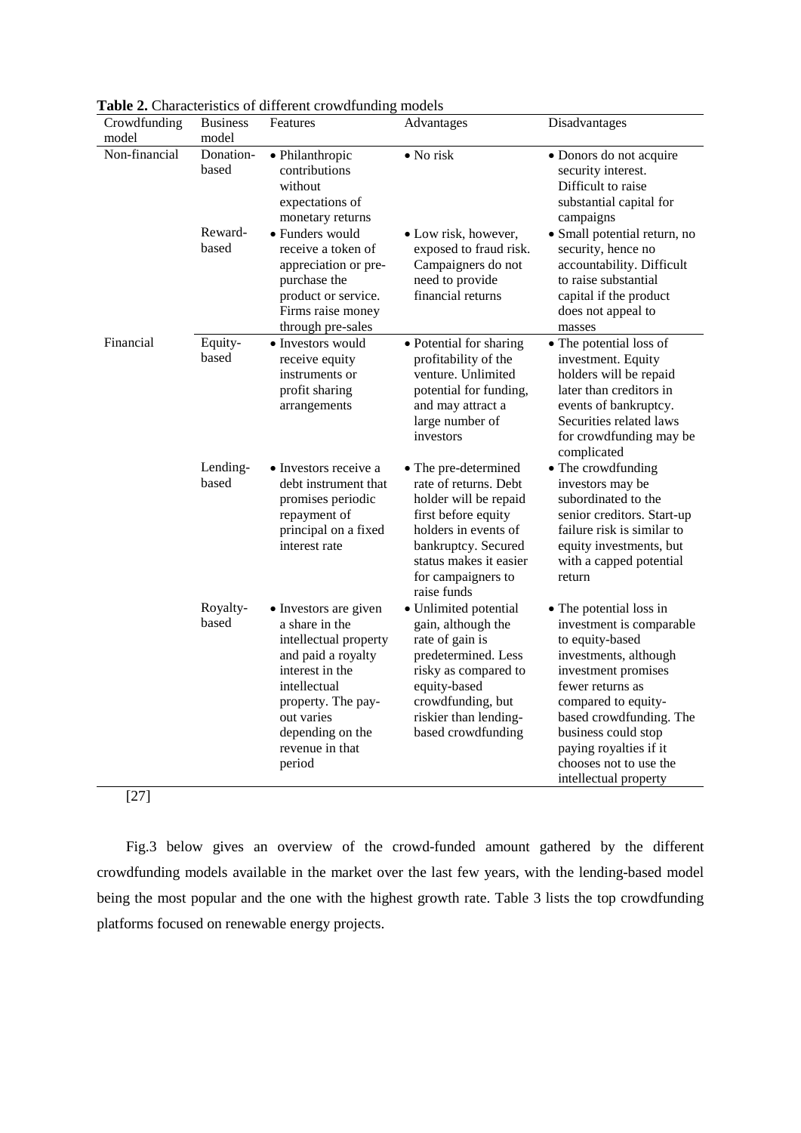| Crowdfunding  | <b>Business</b>    | <b>rable 2.</b> Characteristics of unferent crowdrunding models<br>Features                                                                                                                                    | Advantages                                                                                                                                                                                                  | Disadvantages                                                                                                                                                                                                                                                                                    |
|---------------|--------------------|----------------------------------------------------------------------------------------------------------------------------------------------------------------------------------------------------------------|-------------------------------------------------------------------------------------------------------------------------------------------------------------------------------------------------------------|--------------------------------------------------------------------------------------------------------------------------------------------------------------------------------------------------------------------------------------------------------------------------------------------------|
| model         | model              |                                                                                                                                                                                                                |                                                                                                                                                                                                             |                                                                                                                                                                                                                                                                                                  |
| Non-financial | Donation-<br>based | · Philanthropic<br>contributions<br>without<br>expectations of<br>monetary returns                                                                                                                             | • No risk                                                                                                                                                                                                   | • Donors do not acquire<br>security interest.<br>Difficult to raise<br>substantial capital for<br>campaigns                                                                                                                                                                                      |
|               | Reward-<br>based   | • Funders would<br>receive a token of<br>appreciation or pre-<br>purchase the<br>product or service.<br>Firms raise money<br>through pre-sales                                                                 | • Low risk, however,<br>exposed to fraud risk.<br>Campaigners do not<br>need to provide<br>financial returns                                                                                                | · Small potential return, no<br>security, hence no<br>accountability. Difficult<br>to raise substantial<br>capital if the product<br>does not appeal to<br>masses                                                                                                                                |
| Financial     | Equity-<br>based   | • Investors would<br>receive equity<br>instruments or<br>profit sharing<br>arrangements                                                                                                                        | • Potential for sharing<br>profitability of the<br>venture. Unlimited<br>potential for funding,<br>and may attract a<br>large number of<br>investors                                                        | • The potential loss of<br>investment. Equity<br>holders will be repaid<br>later than creditors in<br>events of bankruptcy.<br>Securities related laws<br>for crowdfunding may be<br>complicated                                                                                                 |
|               | Lending-<br>based  | • Investors receive a<br>debt instrument that<br>promises periodic<br>repayment of<br>principal on a fixed<br>interest rate                                                                                    | • The pre-determined<br>rate of returns. Debt<br>holder will be repaid<br>first before equity<br>holders in events of<br>bankruptcy. Secured<br>status makes it easier<br>for campaigners to<br>raise funds | • The crowdfunding<br>investors may be<br>subordinated to the<br>senior creditors. Start-up<br>failure risk is similar to<br>equity investments, but<br>with a capped potential<br>return                                                                                                        |
|               | Royalty-<br>based  | • Investors are given<br>a share in the<br>intellectual property<br>and paid a royalty<br>interest in the<br>intellectual<br>property. The pay-<br>out varies<br>depending on the<br>revenue in that<br>period | · Unlimited potential<br>gain, although the<br>rate of gain is<br>predetermined. Less<br>risky as compared to<br>equity-based<br>crowdfunding, but<br>riskier than lending-<br>based crowdfunding           | • The potential loss in<br>investment is comparable<br>to equity-based<br>investments, although<br>investment promises<br>fewer returns as<br>compared to equity-<br>based crowdfunding. The<br>business could stop<br>paying royalties if it<br>chooses not to use the<br>intellectual property |

**Table 2.** Characteristics of different crowdfunding models

[27]

Fig.3 below gives an overview of the crowd-funded amount gathered by the different crowdfunding models available in the market over the last few years, with the lending-based model being the most popular and the one with the highest growth rate. Table 3 lists the top crowdfunding platforms focused on renewable energy projects.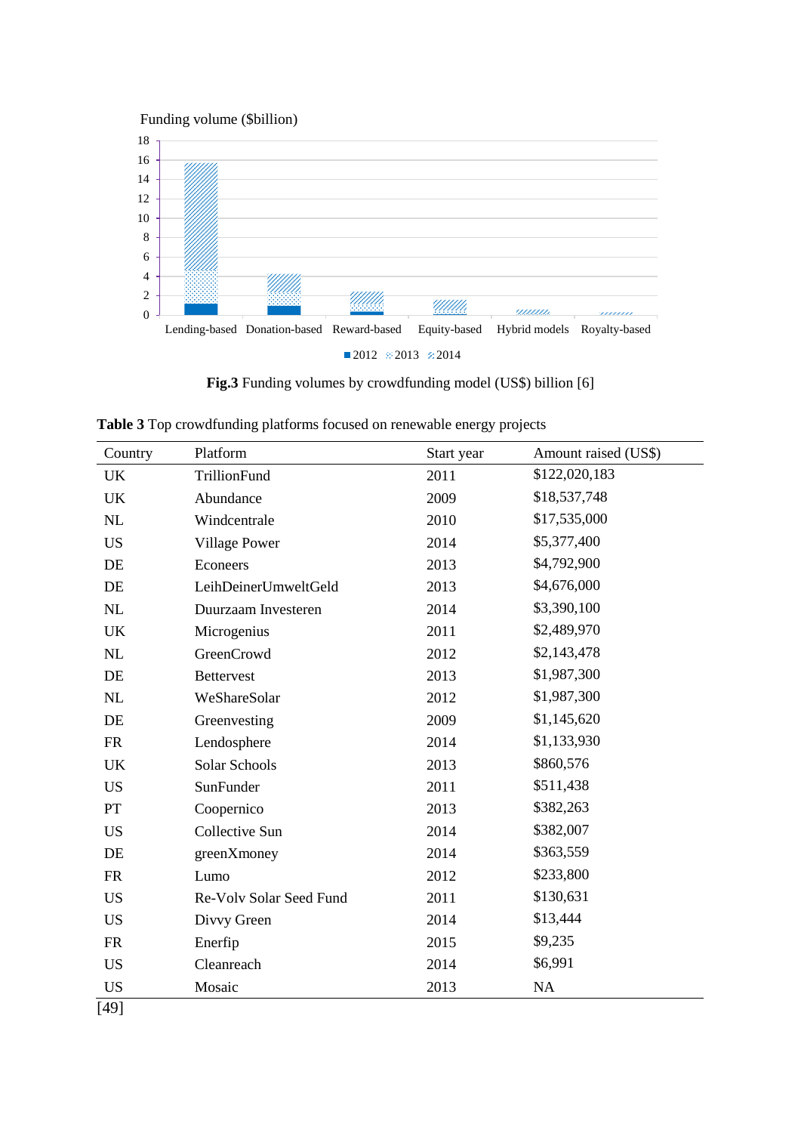Funding volume (\$billion)



**Fig.3** Funding volumes by crowdfunding model (US\$) billion [6]

**Table 3** Top crowdfunding platforms focused on renewable energy projects

| Country   | Platform                | Start year | Amount raised (US\$) |
|-----------|-------------------------|------------|----------------------|
| <b>UK</b> | TrillionFund            | 2011       | \$122,020,183        |
| <b>UK</b> | Abundance               | 2009       | \$18,537,748         |
| NL        | Windcentrale            | 2010       | \$17,535,000         |
| <b>US</b> | <b>Village Power</b>    | 2014       | \$5,377,400          |
| DE        | Econeers                | 2013       | \$4,792,900          |
| DE        | LeihDeinerUmweltGeld    | 2013       | \$4,676,000          |
| NL        | Duurzaam Investeren     | 2014       | \$3,390,100          |
| <b>UK</b> | Microgenius             | 2011       | \$2,489,970          |
| NL        | GreenCrowd              | 2012       | \$2,143,478          |
| DE        | <b>Bettervest</b>       | 2013       | \$1,987,300          |
| NL        | WeShareSolar            | 2012       | \$1,987,300          |
| DE        | Greenvesting            | 2009       | \$1,145,620          |
| <b>FR</b> | Lendosphere             | 2014       | \$1,133,930          |
| <b>UK</b> | Solar Schools           | 2013       | \$860,576            |
| <b>US</b> | SunFunder               | 2011       | \$511,438            |
| PT        | Coopernico              | 2013       | \$382,263            |
| <b>US</b> | Collective Sun          | 2014       | \$382,007            |
| DE        | greenXmoney             | 2014       | \$363,559            |
| <b>FR</b> | Lumo                    | 2012       | \$233,800            |
| <b>US</b> | Re-Volv Solar Seed Fund | 2011       | \$130,631            |
| <b>US</b> | Divvy Green             | 2014       | \$13,444             |
| <b>FR</b> | Enerfip                 | 2015       | \$9,235              |
| <b>US</b> | Cleanreach              | 2014       | \$6,991              |
| <b>US</b> | Mosaic                  | 2013       | NA                   |
| [49]      |                         |            |                      |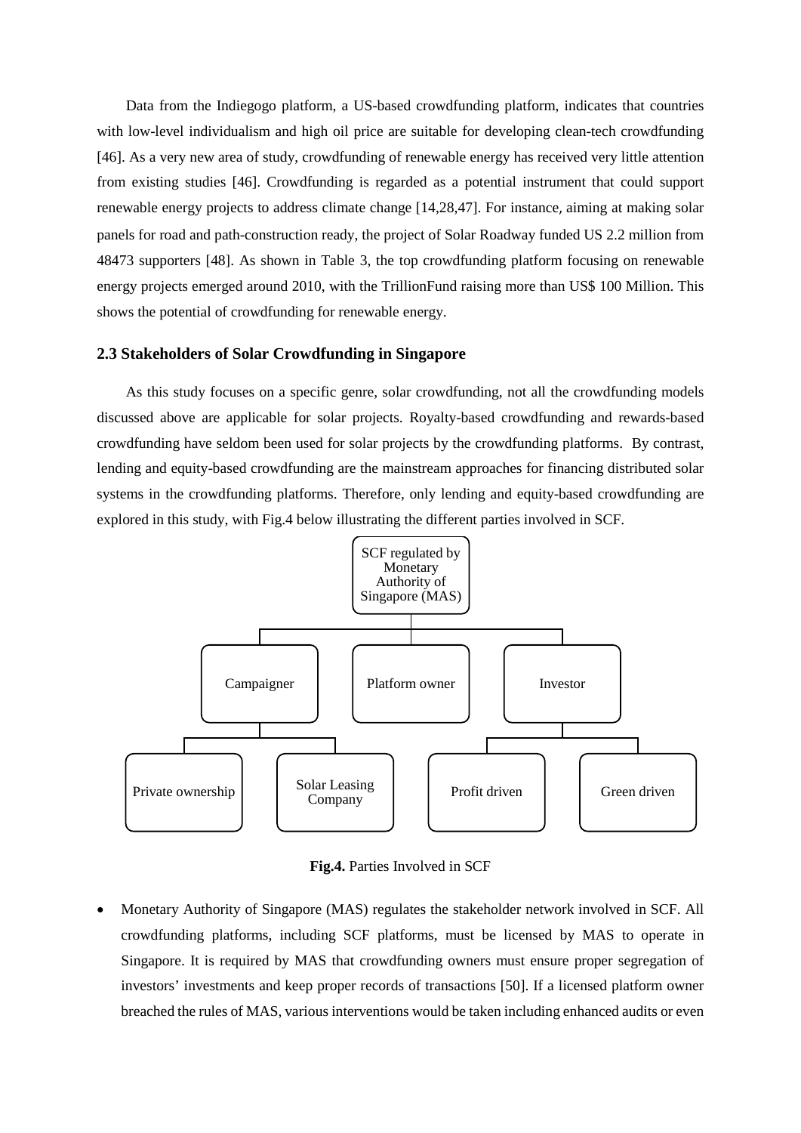Data from the Indiegogo platform, a US-based crowdfunding platform, indicates that countries with low-level individualism and high oil price are suitable for developing clean-tech crowdfunding [46]. As a very new area of study, crowdfunding of renewable energy has received very little attention from existing studies [46]. Crowdfunding is regarded as a potential instrument that could support renewable energy projects to address climate change [14,28,47]. For instance, aiming at making solar panels for road and path-construction ready, the project of Solar Roadway funded US 2.2 million from 48473 supporters [48]. As shown in Table 3, the top crowdfunding platform focusing on renewable energy projects emerged around 2010, with the TrillionFund raising more than US\$ 100 Million. This shows the potential of crowdfunding for renewable energy.

#### **2.3 Stakeholders of Solar Crowdfunding in Singapore**

As this study focuses on a specific genre, solar crowdfunding, not all the crowdfunding models discussed above are applicable for solar projects. Royalty-based crowdfunding and rewards-based crowdfunding have seldom been used for solar projects by the crowdfunding platforms. By contrast, lending and equity-based crowdfunding are the mainstream approaches for financing distributed solar systems in the crowdfunding platforms. Therefore, only lending and equity-based crowdfunding are explored in this study, with Fig.4 below illustrating the different parties involved in SCF.



**Fig.4.** Parties Involved in SCF

• Monetary Authority of Singapore (MAS) regulates the stakeholder network involved in SCF. All crowdfunding platforms, including SCF platforms, must be licensed by MAS to operate in Singapore. It is required by MAS that crowdfunding owners must ensure proper segregation of investors' investments and keep proper records of transactions [50]. If a licensed platform owner breached the rules of MAS, various interventions would be taken including enhanced audits or even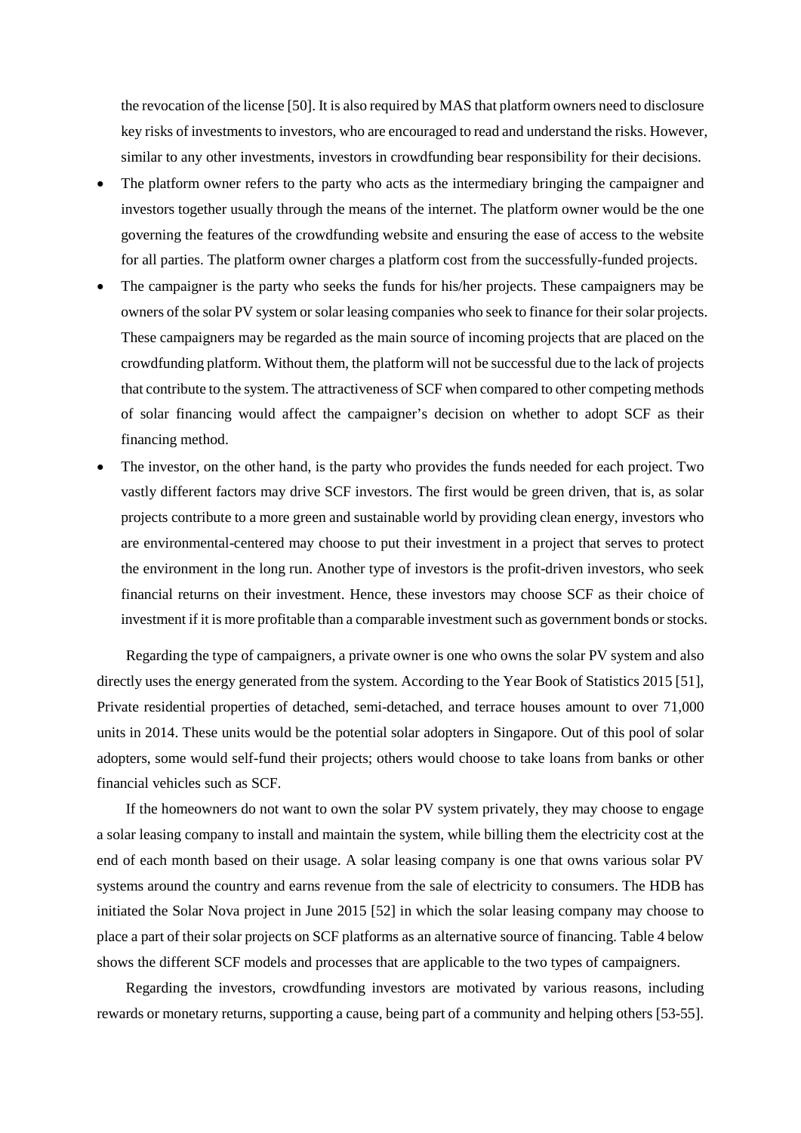the revocation of the license [50]. It is also required by MAS that platform owners need to disclosure key risks of investments to investors, who are encouraged to read and understand the risks. However, similar to any other investments, investors in crowdfunding bear responsibility for their decisions.

- The platform owner refers to the party who acts as the intermediary bringing the campaigner and investors together usually through the means of the internet. The platform owner would be the one governing the features of the crowdfunding website and ensuring the ease of access to the website for all parties. The platform owner charges a platform cost from the successfully-funded projects.
- The campaigner is the party who seeks the funds for his/her projects. These campaigners may be owners of the solar PV system or solar leasing companies who seek to finance for their solar projects. These campaigners may be regarded as the main source of incoming projects that are placed on the crowdfunding platform. Without them, the platform will not be successful due to the lack of projects that contribute to the system. The attractiveness of SCF when compared to other competing methods of solar financing would affect the campaigner's decision on whether to adopt SCF as their financing method.
- The investor, on the other hand, is the party who provides the funds needed for each project. Two vastly different factors may drive SCF investors. The first would be green driven, that is, as solar projects contribute to a more green and sustainable world by providing clean energy, investors who are environmental-centered may choose to put their investment in a project that serves to protect the environment in the long run. Another type of investors is the profit-driven investors, who seek financial returns on their investment. Hence, these investors may choose SCF as their choice of investment if it is more profitable than a comparable investment such as government bonds or stocks.

Regarding the type of campaigners, a private owner is one who owns the solar PV system and also directly uses the energy generated from the system. According to the Year Book of Statistics 2015 [51], Private residential properties of detached, semi-detached, and terrace houses amount to over 71,000 units in 2014. These units would be the potential solar adopters in Singapore. Out of this pool of solar adopters, some would self-fund their projects; others would choose to take loans from banks or other financial vehicles such as SCF.

If the homeowners do not want to own the solar PV system privately, they may choose to engage a solar leasing company to install and maintain the system, while billing them the electricity cost at the end of each month based on their usage. A solar leasing company is one that owns various solar PV systems around the country and earns revenue from the sale of electricity to consumers. The HDB has initiated the Solar Nova project in June 2015 [52] in which the solar leasing company may choose to place a part of their solar projects on SCF platforms as an alternative source of financing. Table 4 below shows the different SCF models and processes that are applicable to the two types of campaigners.

Regarding the investors, crowdfunding investors are motivated by various reasons, including rewards or monetary returns, supporting a cause, being part of a community and helping others [53-55].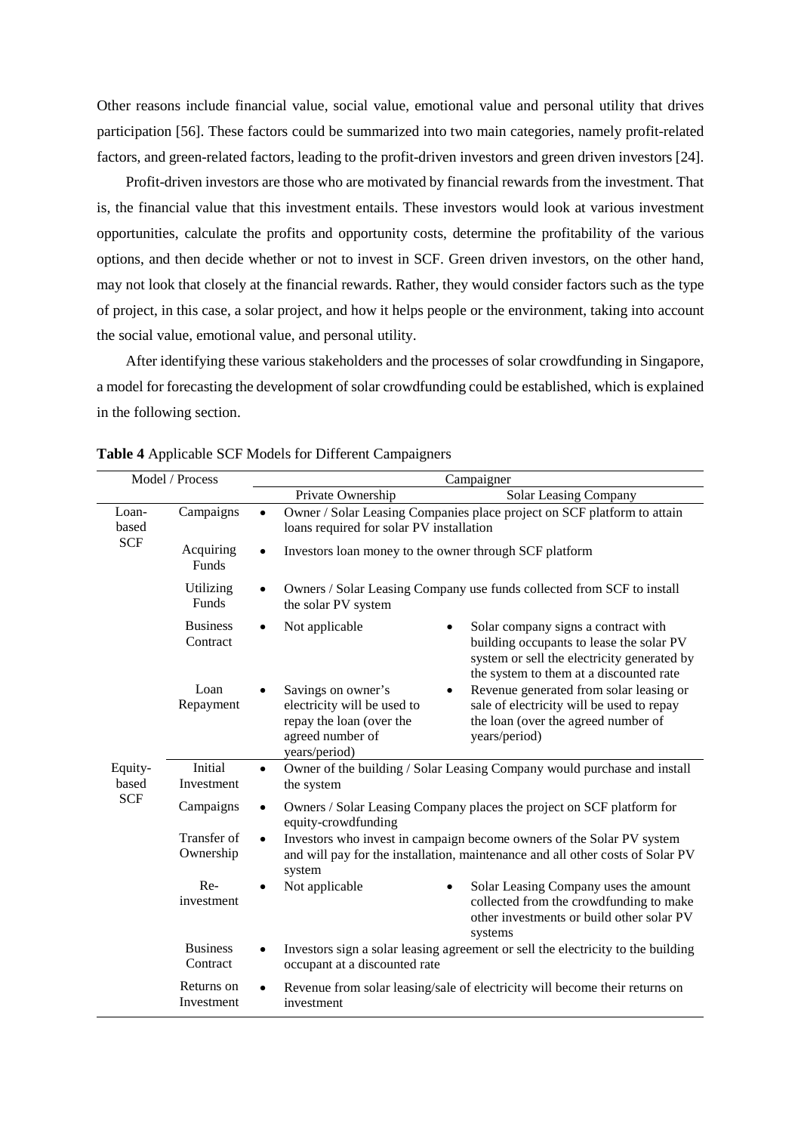Other reasons include financial value, social value, emotional value and personal utility that drives participation [56]. These factors could be summarized into two main categories, namely profit-related factors, and green-related factors, leading to the profit-driven investors and green driven investors [24].

Profit-driven investors are those who are motivated by financial rewards from the investment. That is, the financial value that this investment entails. These investors would look at various investment opportunities, calculate the profits and opportunity costs, determine the profitability of the various options, and then decide whether or not to invest in SCF. Green driven investors, on the other hand, may not look that closely at the financial rewards. Rather, they would consider factors such as the type of project, in this case, a solar project, and how it helps people or the environment, taking into account the social value, emotional value, and personal utility.

After identifying these various stakeholders and the processes of solar crowdfunding in Singapore, a model for forecasting the development of solar crowdfunding could be established, which is explained in the following section.

| Model / Process  |                             | Campaigner                                                                                                                                                                                                                                                                      |  |  |
|------------------|-----------------------------|---------------------------------------------------------------------------------------------------------------------------------------------------------------------------------------------------------------------------------------------------------------------------------|--|--|
|                  |                             | Solar Leasing Company<br>Private Ownership                                                                                                                                                                                                                                      |  |  |
| Loan-<br>based   | Campaigns                   | Owner / Solar Leasing Companies place project on SCF platform to attain<br>loans required for solar PV installation                                                                                                                                                             |  |  |
| <b>SCF</b>       | Acquiring<br>Funds          | Investors loan money to the owner through SCF platform                                                                                                                                                                                                                          |  |  |
|                  | Utilizing<br>Funds          | Owners / Solar Leasing Company use funds collected from SCF to install<br>the solar PV system                                                                                                                                                                                   |  |  |
|                  | <b>Business</b><br>Contract | Not applicable<br>Solar company signs a contract with<br>$\bullet$<br>building occupants to lease the solar PV<br>system or sell the electricity generated by<br>the system to them at a discounted rate                                                                        |  |  |
|                  | Loan<br>Repayment           | Revenue generated from solar leasing or<br>Savings on owner's<br>$\bullet$<br>electricity will be used to<br>sale of electricity will be used to repay<br>the loan (over the agreed number of<br>repay the loan (over the<br>agreed number of<br>years/period)<br>years/period) |  |  |
| Equity-<br>based | Initial<br>Investment       | Owner of the building / Solar Leasing Company would purchase and install<br>$\bullet$<br>the system                                                                                                                                                                             |  |  |
| <b>SCF</b>       | Campaigns                   | Owners / Solar Leasing Company places the project on SCF platform for<br>equity-crowdfunding                                                                                                                                                                                    |  |  |
|                  | Transfer of<br>Ownership    | Investors who invest in campaign become owners of the Solar PV system<br>and will pay for the installation, maintenance and all other costs of Solar PV<br>system                                                                                                               |  |  |
|                  | $Re-$<br>investment         | Not applicable<br>Solar Leasing Company uses the amount<br>$\bullet$<br>$\bullet$<br>collected from the crowdfunding to make<br>other investments or build other solar PV<br>systems                                                                                            |  |  |
|                  | <b>Business</b><br>Contract | Investors sign a solar leasing agreement or sell the electricity to the building<br>occupant at a discounted rate                                                                                                                                                               |  |  |
|                  | Returns on<br>Investment    | Revenue from solar leasing/sale of electricity will become their returns on<br>investment                                                                                                                                                                                       |  |  |

**Table 4** Applicable SCF Models for Different Campaigners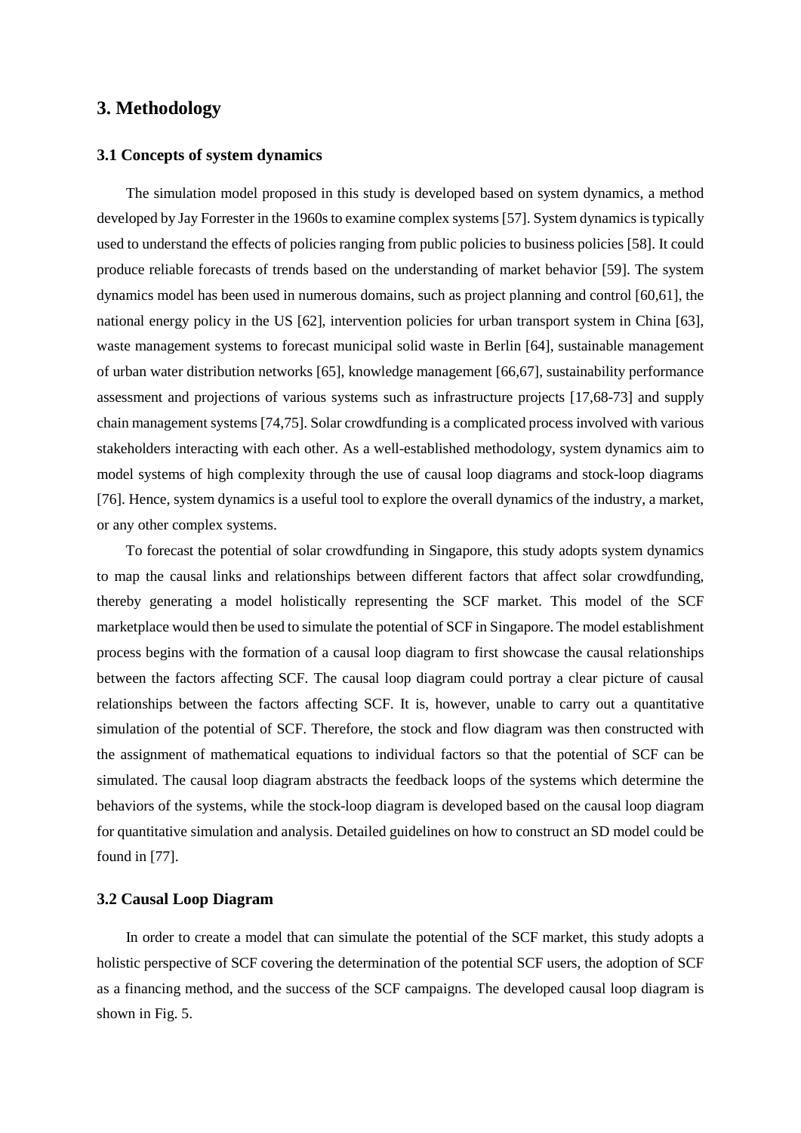## **3. Methodology**

#### **3.1 Concepts of system dynamics**

The simulation model proposed in this study is developed based on system dynamics, a method developed by Jay Forrester in the 1960s to examine complex systems [57]. System dynamics is typically used to understand the effects of policies ranging from public policies to business policies [58]. It could produce reliable forecasts of trends based on the understanding of market behavior [59]. The system dynamics model has been used in numerous domains, such as project planning and control [60,61], the national energy policy in the US [62], intervention policies for urban transport system in China [63], waste management systems to forecast municipal solid waste in Berlin [64], sustainable management of urban water distribution networks [65], knowledge management [66,67], sustainability performance assessment and projections of various systems such as infrastructure projects [17,68-73] and supply chain management systems [74,75]. Solar crowdfunding is a complicated process involved with various stakeholders interacting with each other. As a well-established methodology, system dynamics aim to model systems of high complexity through the use of causal loop diagrams and stock-loop diagrams [76]. Hence, system dynamics is a useful tool to explore the overall dynamics of the industry, a market, or any other complex systems.

To forecast the potential of solar crowdfunding in Singapore, this study adopts system dynamics to map the causal links and relationships between different factors that affect solar crowdfunding, thereby generating a model holistically representing the SCF market. This model of the SCF marketplace would then be used to simulate the potential of SCF in Singapore. The model establishment process begins with the formation of a causal loop diagram to first showcase the causal relationships between the factors affecting SCF. The causal loop diagram could portray a clear picture of causal relationships between the factors affecting SCF. It is, however, unable to carry out a quantitative simulation of the potential of SCF. Therefore, the stock and flow diagram was then constructed with the assignment of mathematical equations to individual factors so that the potential of SCF can be simulated. The causal loop diagram abstracts the feedback loops of the systems which determine the behaviors of the systems, while the stock-loop diagram is developed based on the causal loop diagram for quantitative simulation and analysis. Detailed guidelines on how to construct an SD model could be found in [77].

#### **3.2 Causal Loop Diagram**

In order to create a model that can simulate the potential of the SCF market, this study adopts a holistic perspective of SCF covering the determination of the potential SCF users, the adoption of SCF as a financing method, and the success of the SCF campaigns. The developed causal loop diagram is shown in Fig. 5.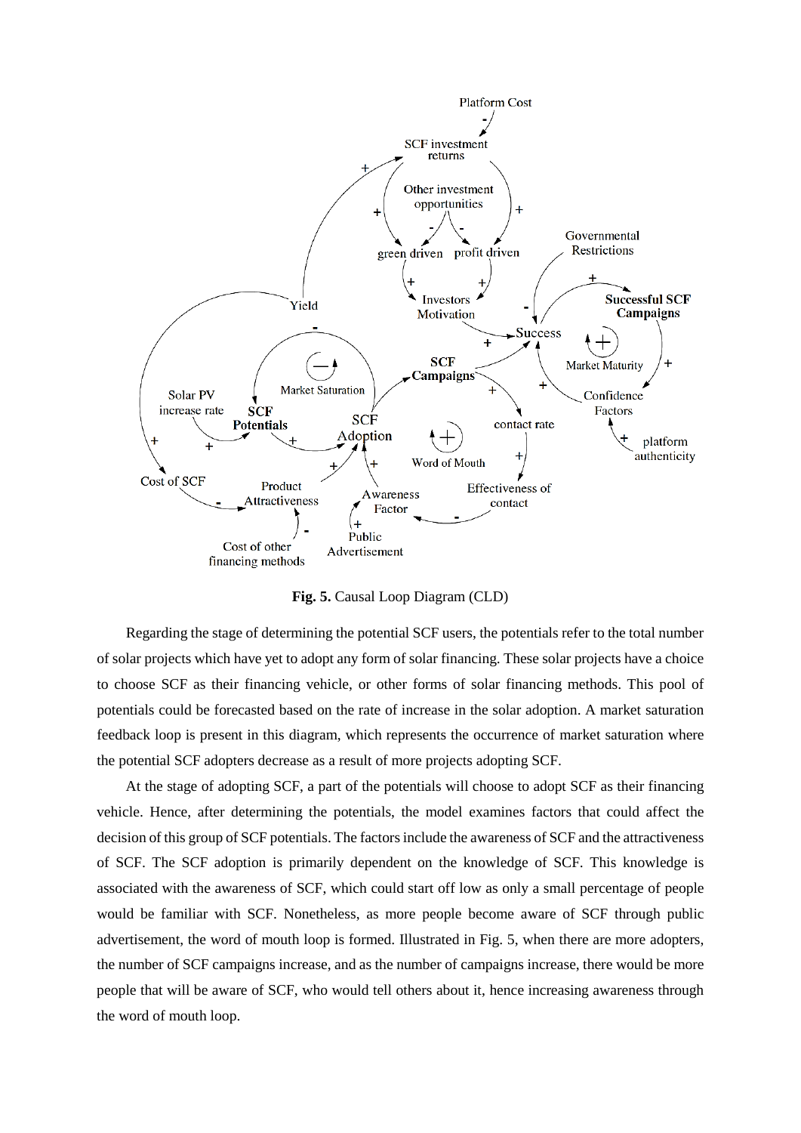

**Fig. 5.** Causal Loop Diagram (CLD)

Regarding the stage of determining the potential SCF users, the potentials refer to the total number of solar projects which have yet to adopt any form of solar financing. These solar projects have a choice to choose SCF as their financing vehicle, or other forms of solar financing methods. This pool of potentials could be forecasted based on the rate of increase in the solar adoption. A market saturation feedback loop is present in this diagram, which represents the occurrence of market saturation where the potential SCF adopters decrease as a result of more projects adopting SCF.

At the stage of adopting SCF, a part of the potentials will choose to adopt SCF as their financing vehicle. Hence, after determining the potentials, the model examines factors that could affect the decision of this group of SCF potentials. The factors include the awareness of SCF and the attractiveness of SCF. The SCF adoption is primarily dependent on the knowledge of SCF. This knowledge is associated with the awareness of SCF, which could start off low as only a small percentage of people would be familiar with SCF. Nonetheless, as more people become aware of SCF through public advertisement, the word of mouth loop is formed. Illustrated in Fig. 5, when there are more adopters, the number of SCF campaigns increase, and as the number of campaigns increase, there would be more people that will be aware of SCF, who would tell others about it, hence increasing awareness through the word of mouth loop.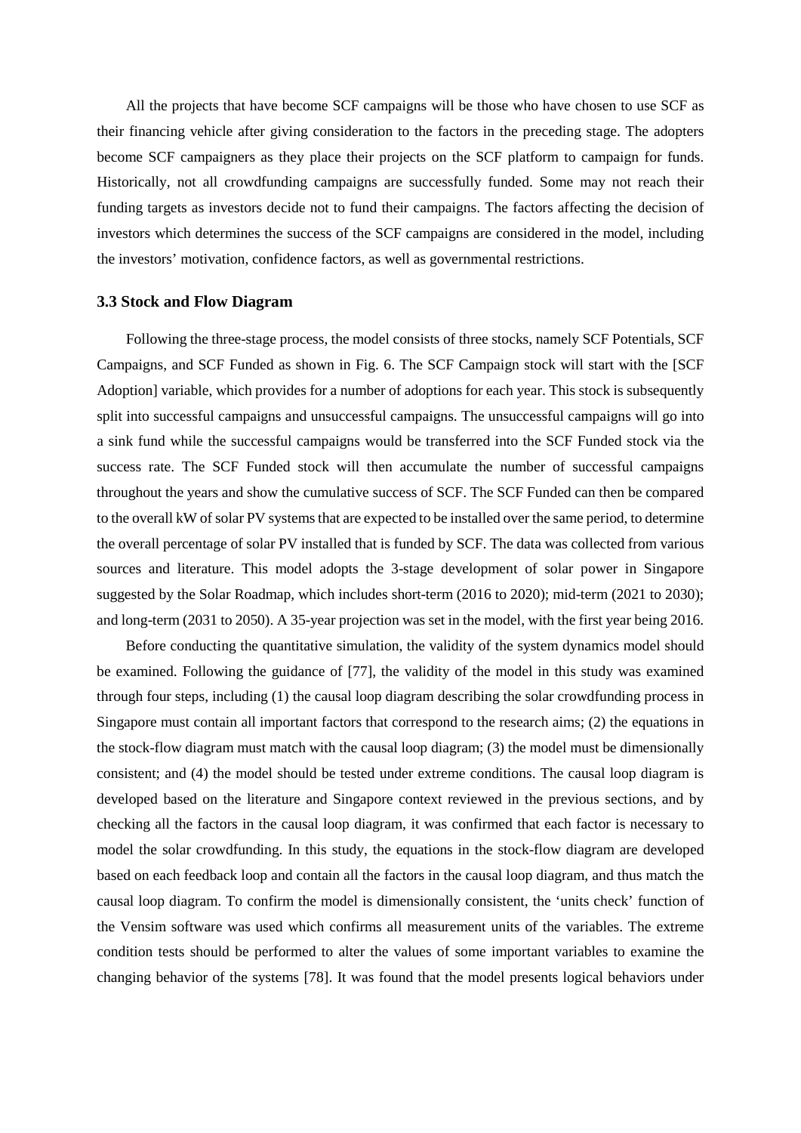All the projects that have become SCF campaigns will be those who have chosen to use SCF as their financing vehicle after giving consideration to the factors in the preceding stage. The adopters become SCF campaigners as they place their projects on the SCF platform to campaign for funds. Historically, not all crowdfunding campaigns are successfully funded. Some may not reach their funding targets as investors decide not to fund their campaigns. The factors affecting the decision of investors which determines the success of the SCF campaigns are considered in the model, including the investors' motivation, confidence factors, as well as governmental restrictions.

#### **3.3 Stock and Flow Diagram**

Following the three-stage process, the model consists of three stocks, namely SCF Potentials, SCF Campaigns, and SCF Funded as shown in Fig. 6. The SCF Campaign stock will start with the [SCF Adoption] variable, which provides for a number of adoptions for each year. This stock is subsequently split into successful campaigns and unsuccessful campaigns. The unsuccessful campaigns will go into a sink fund while the successful campaigns would be transferred into the SCF Funded stock via the success rate. The SCF Funded stock will then accumulate the number of successful campaigns throughout the years and show the cumulative success of SCF. The SCF Funded can then be compared to the overall kW of solar PV systems that are expected to be installed over the same period, to determine the overall percentage of solar PV installed that is funded by SCF. The data was collected from various sources and literature. This model adopts the 3-stage development of solar power in Singapore suggested by the Solar Roadmap, which includes short-term (2016 to 2020); mid-term (2021 to 2030); and long-term (2031 to 2050). A 35-year projection was set in the model, with the first year being 2016.

Before conducting the quantitative simulation, the validity of the system dynamics model should be examined. Following the guidance of [77], the validity of the model in this study was examined through four steps, including (1) the causal loop diagram describing the solar crowdfunding process in Singapore must contain all important factors that correspond to the research aims; (2) the equations in the stock-flow diagram must match with the causal loop diagram; (3) the model must be dimensionally consistent; and (4) the model should be tested under extreme conditions. The causal loop diagram is developed based on the literature and Singapore context reviewed in the previous sections, and by checking all the factors in the causal loop diagram, it was confirmed that each factor is necessary to model the solar crowdfunding. In this study, the equations in the stock-flow diagram are developed based on each feedback loop and contain all the factors in the causal loop diagram, and thus match the causal loop diagram. To confirm the model is dimensionally consistent, the 'units check' function of the Vensim software was used which confirms all measurement units of the variables. The extreme condition tests should be performed to alter the values of some important variables to examine the changing behavior of the systems [78]. It was found that the model presents logical behaviors under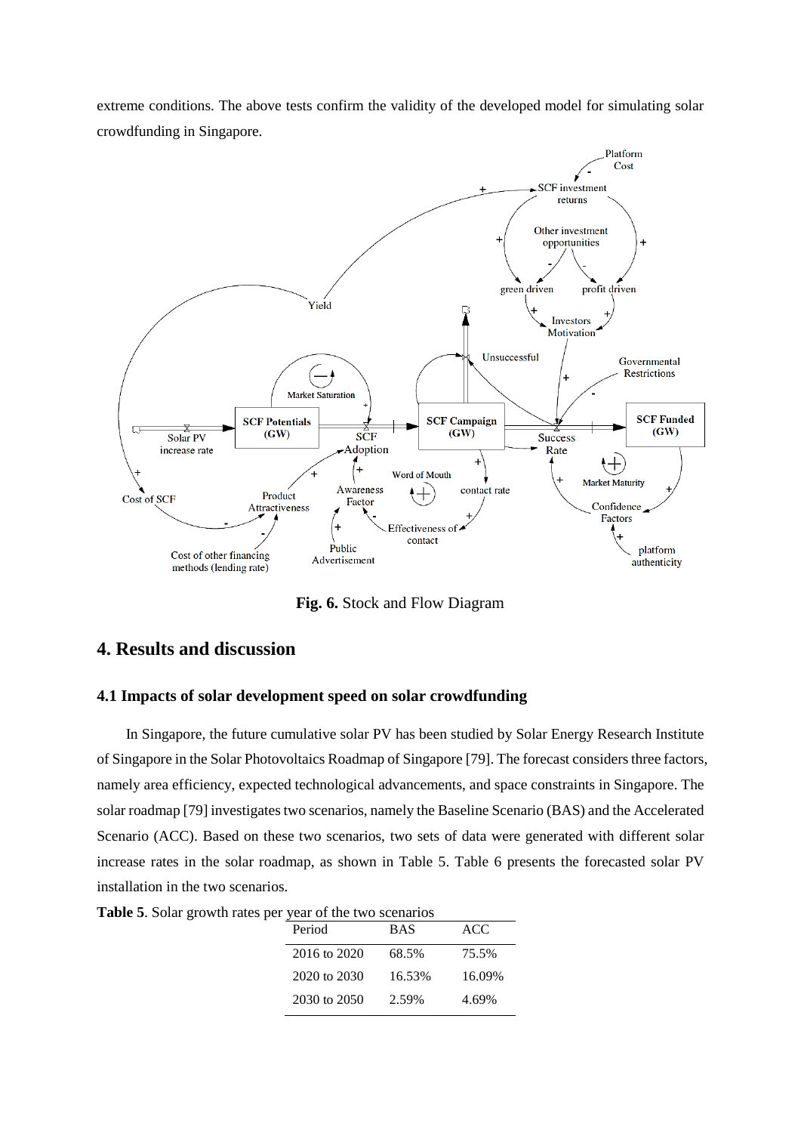extreme conditions. The above tests confirm the validity of the developed model for simulating solar crowdfunding in Singapore.



**Fig. 6.** Stock and Flow Diagram

# **4. Results and discussion**

#### **4.1 Impacts of solar development speed on solar crowdfunding**

In Singapore, the future cumulative solar PV has been studied by Solar Energy Research Institute of Singapore in the Solar Photovoltaics Roadmap of Singapore [79]. The forecast considers three factors, namely area efficiency, expected technological advancements, and space constraints in Singapore. The solar roadmap [79] investigates two scenarios, namely the Baseline Scenario (BAS) and the Accelerated Scenario (ACC). Based on these two scenarios, two sets of data were generated with different solar increase rates in the solar roadmap, as shown in Table 5. Table 6 presents the forecasted solar PV installation in the two scenarios.

| $\mu$ pcl year of the two seculatios |            |        |
|--------------------------------------|------------|--------|
| Period                               | <b>BAS</b> | ACC    |
| 2016 to 2020                         | 68.5%      | 75.5%  |
| 2020 to 2030                         | 16.53%     | 16.09% |
| 2030 to 2050                         | 2.59%      | 4.69%  |

**Table 5**. Solar growth rates per year of the two scenarios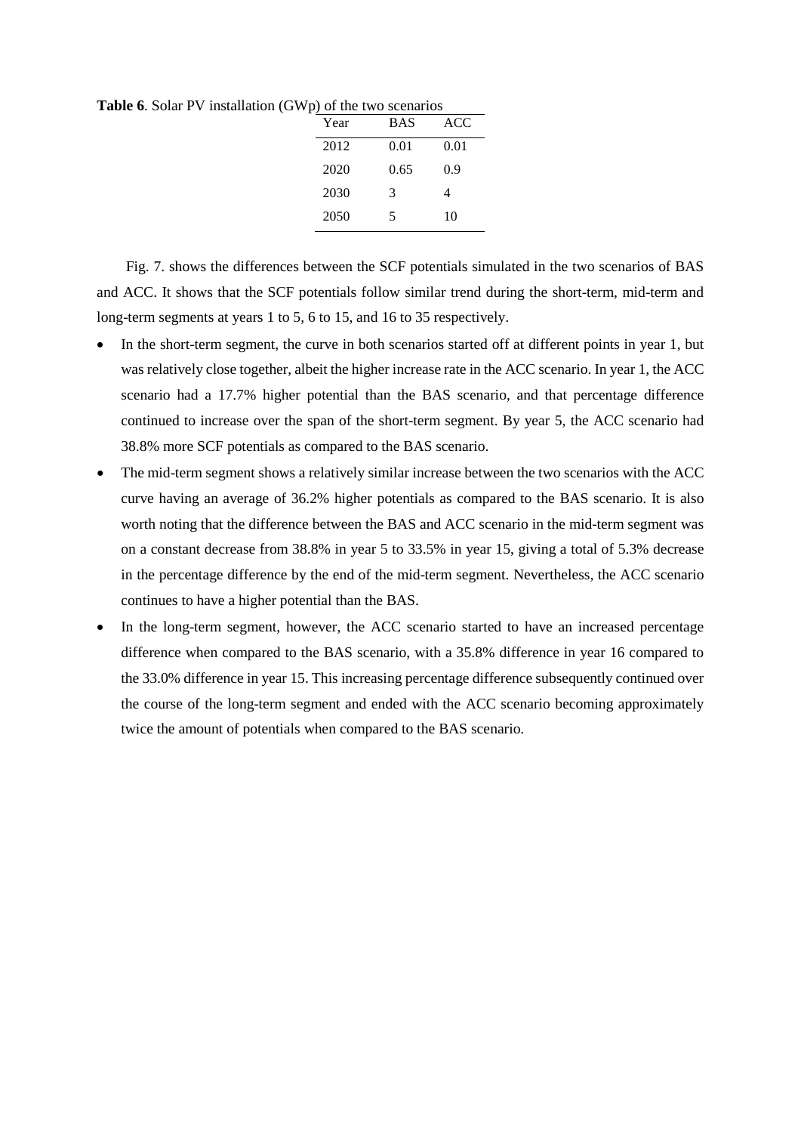**Table 6**. Solar PV installation (GWp) of the two scenarios

| Year | <b>BAS</b> | ACC. |
|------|------------|------|
| 2012 | 0.01       | 0.01 |
| 2020 | 0.65       | 0.9  |
| 2030 | 3          | 4    |
| 2050 | 5          | 10   |

Fig. 7. shows the differences between the SCF potentials simulated in the two scenarios of BAS and ACC. It shows that the SCF potentials follow similar trend during the short-term, mid-term and long-term segments at years 1 to 5, 6 to 15, and 16 to 35 respectively.

- In the short-term segment, the curve in both scenarios started off at different points in year 1, but was relatively close together, albeit the higher increase rate in the ACC scenario. In year 1, the ACC scenario had a 17.7% higher potential than the BAS scenario, and that percentage difference continued to increase over the span of the short-term segment. By year 5, the ACC scenario had 38.8% more SCF potentials as compared to the BAS scenario.
- The mid-term segment shows a relatively similar increase between the two scenarios with the ACC curve having an average of 36.2% higher potentials as compared to the BAS scenario. It is also worth noting that the difference between the BAS and ACC scenario in the mid-term segment was on a constant decrease from 38.8% in year 5 to 33.5% in year 15, giving a total of 5.3% decrease in the percentage difference by the end of the mid-term segment. Nevertheless, the ACC scenario continues to have a higher potential than the BAS.
- In the long-term segment, however, the ACC scenario started to have an increased percentage difference when compared to the BAS scenario, with a 35.8% difference in year 16 compared to the 33.0% difference in year 15. This increasing percentage difference subsequently continued over the course of the long-term segment and ended with the ACC scenario becoming approximately twice the amount of potentials when compared to the BAS scenario.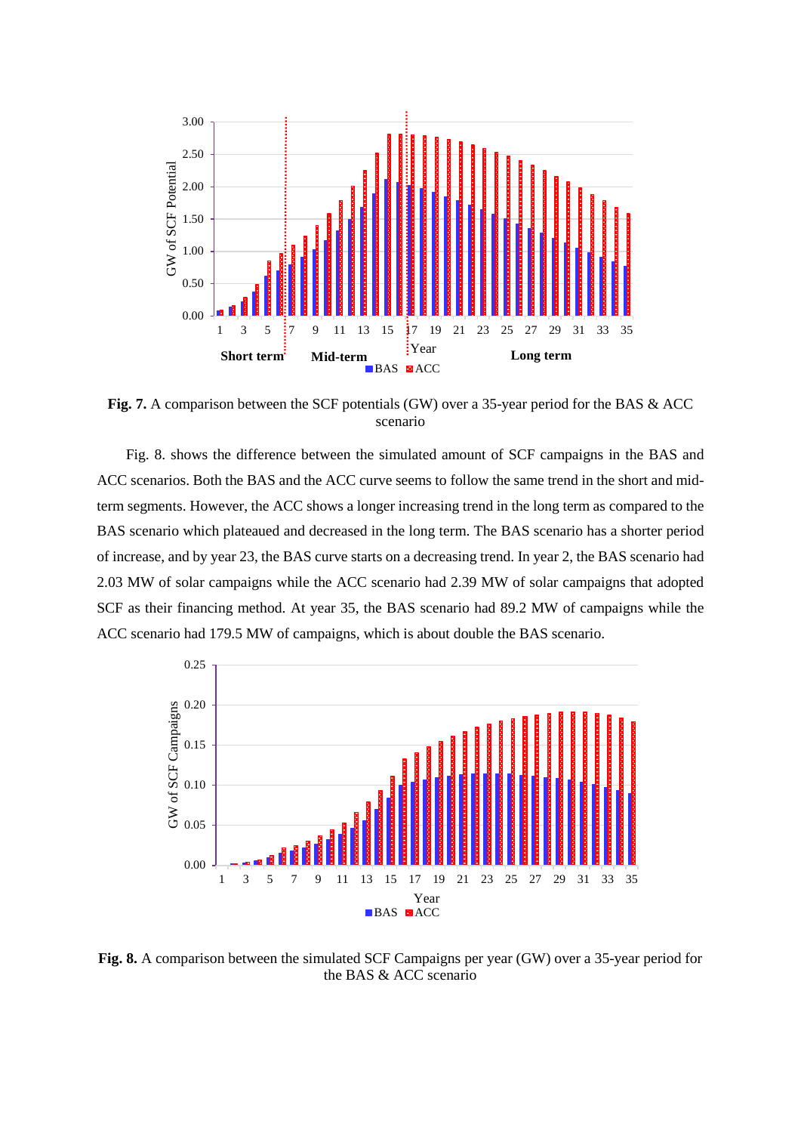

**Fig. 7.** A comparison between the SCF potentials (GW) over a 35-year period for the BAS & ACC scenario

Fig. 8. shows the difference between the simulated amount of SCF campaigns in the BAS and ACC scenarios. Both the BAS and the ACC curve seems to follow the same trend in the short and midterm segments. However, the ACC shows a longer increasing trend in the long term as compared to the BAS scenario which plateaued and decreased in the long term. The BAS scenario has a shorter period of increase, and by year 23, the BAS curve starts on a decreasing trend. In year 2, the BAS scenario had 2.03 MW of solar campaigns while the ACC scenario had 2.39 MW of solar campaigns that adopted SCF as their financing method. At year 35, the BAS scenario had 89.2 MW of campaigns while the ACC scenario had 179.5 MW of campaigns, which is about double the BAS scenario.



**Fig. 8.** A comparison between the simulated SCF Campaigns per year (GW) over a 35-year period for the BAS & ACC scenario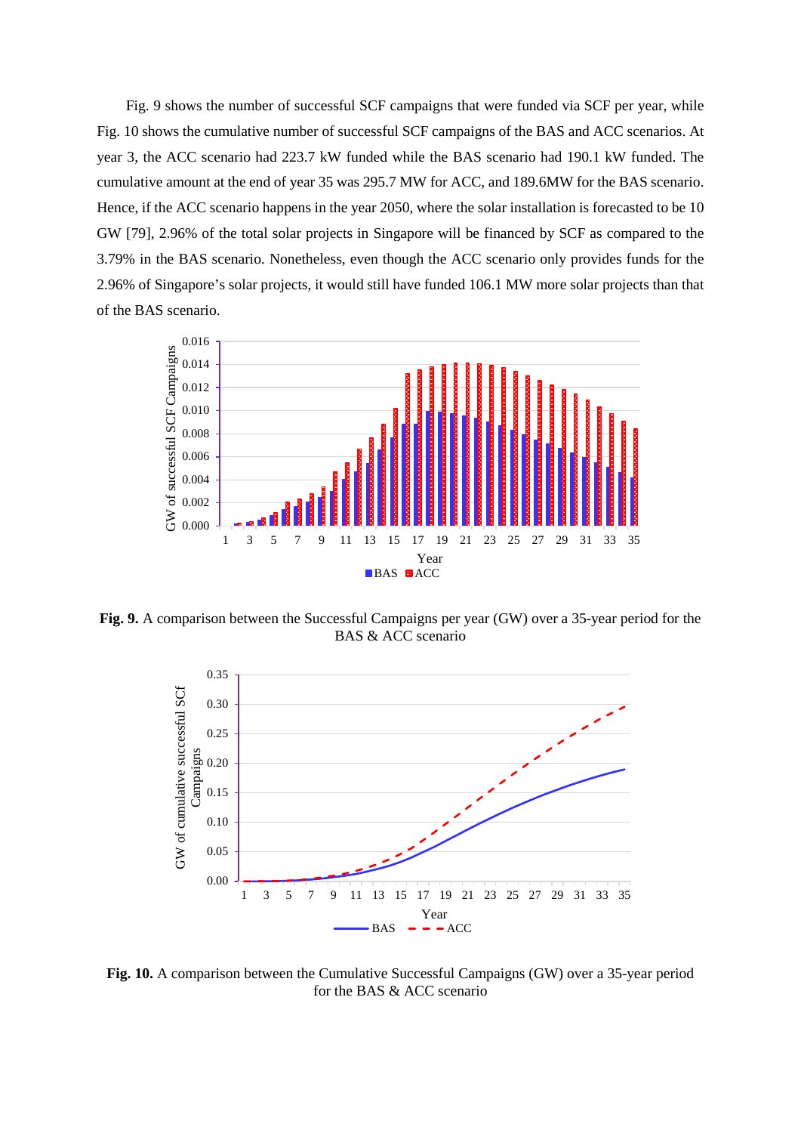Fig. 9 shows the number of successful SCF campaigns that were funded via SCF per year, while Fig. 10 shows the cumulative number of successful SCF campaigns of the BAS and ACC scenarios. At year 3, the ACC scenario had 223.7 kW funded while the BAS scenario had 190.1 kW funded. The cumulative amount at the end of year 35 was 295.7 MW for ACC, and 189.6MW for the BAS scenario. Hence, if the ACC scenario happens in the year 2050, where the solar installation is forecasted to be 10 GW [79], 2.96% of the total solar projects in Singapore will be financed by SCF as compared to the 3.79% in the BAS scenario. Nonetheless, even though the ACC scenario only provides funds for the 2.96% of Singapore's solar projects, it would still have funded 106.1 MW more solar projects than that of the BAS scenario.



**Fig. 9.** A comparison between the Successful Campaigns per year (GW) over a 35-year period for the BAS & ACC scenario



**Fig. 10.** A comparison between the Cumulative Successful Campaigns (GW) over a 35-year period for the BAS & ACC scenario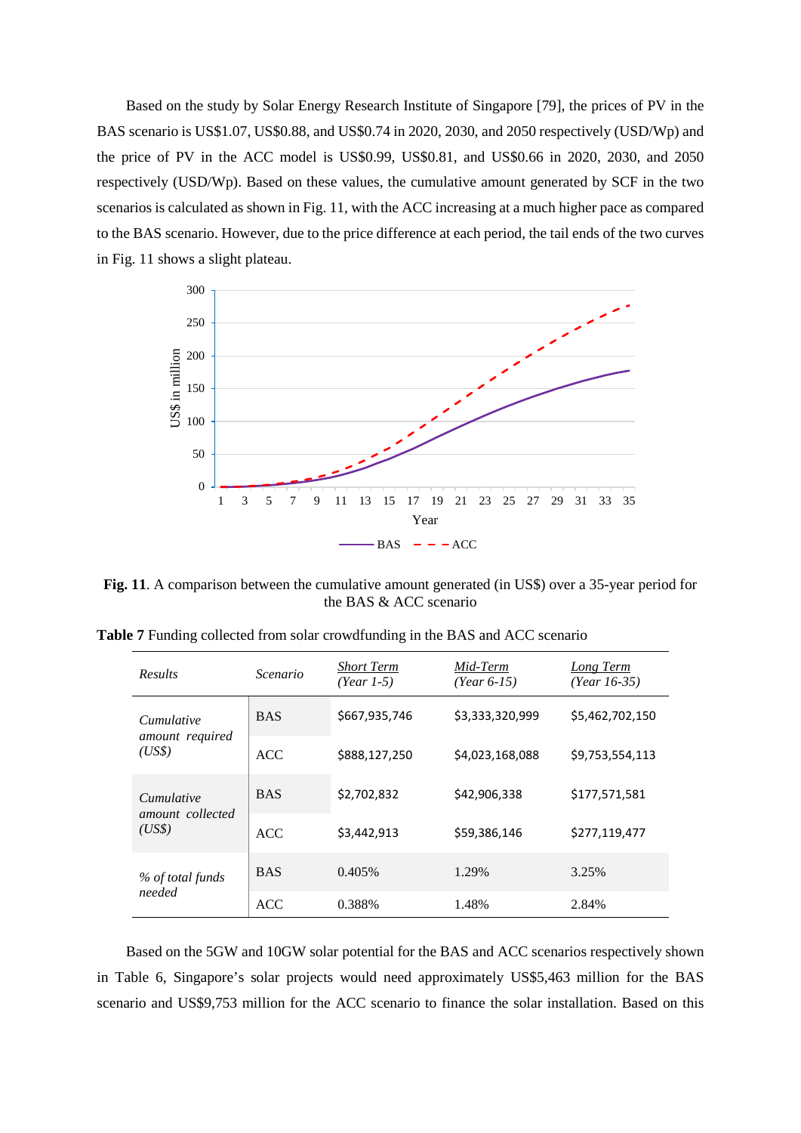Based on the study by Solar Energy Research Institute of Singapore [79], the prices of PV in the BAS scenario is US\$1.07, US\$0.88, and US\$0.74 in 2020, 2030, and 2050 respectively (USD/Wp) and the price of PV in the ACC model is US\$0.99, US\$0.81, and US\$0.66 in 2020, 2030, and 2050 respectively (USD/Wp). Based on these values, the cumulative amount generated by SCF in the two scenarios is calculated as shown in Fig. 11, with the ACC increasing at a much higher pace as compared to the BAS scenario. However, due to the price difference at each period, the tail ends of the two curves in Fig. 11 shows a slight plateau.



**Fig. 11**. A comparison between the cumulative amount generated (in US\$) over a 35-year period for the BAS & ACC scenario

| <b>Results</b>                          | Scenario   | <b>Short Term</b><br>$(Year 1-5)$ | Mid-Term<br>$(Year 6-15)$ | Long Term<br>(Year $16-35$ ) |
|-----------------------------------------|------------|-----------------------------------|---------------------------|------------------------------|
| Cumulative                              | <b>BAS</b> | \$667,935,746                     | \$3,333,320,999           | \$5,462,702,150              |
| amount required<br>(US\$)               | <b>ACC</b> | \$888,127,250                     | \$4,023,168,088           | \$9,753,554,113              |
| Cumulative<br>amount collected<br>(USS) | <b>BAS</b> | \$2,702,832                       | \$42,906,338              | \$177,571,581                |
|                                         | <b>ACC</b> | \$3,442,913                       | \$59,386,146              | \$277,119,477                |
| % of total funds<br>needed              | <b>BAS</b> | 0.405%                            | 1.29%                     | 3.25%                        |
|                                         | ACC        | 0.388%                            | 1.48%                     | 2.84%                        |

**Table 7** Funding collected from solar crowdfunding in the BAS and ACC scenario

Based on the 5GW and 10GW solar potential for the BAS and ACC scenarios respectively shown in Table 6, Singapore's solar projects would need approximately US\$5,463 million for the BAS scenario and US\$9,753 million for the ACC scenario to finance the solar installation. Based on this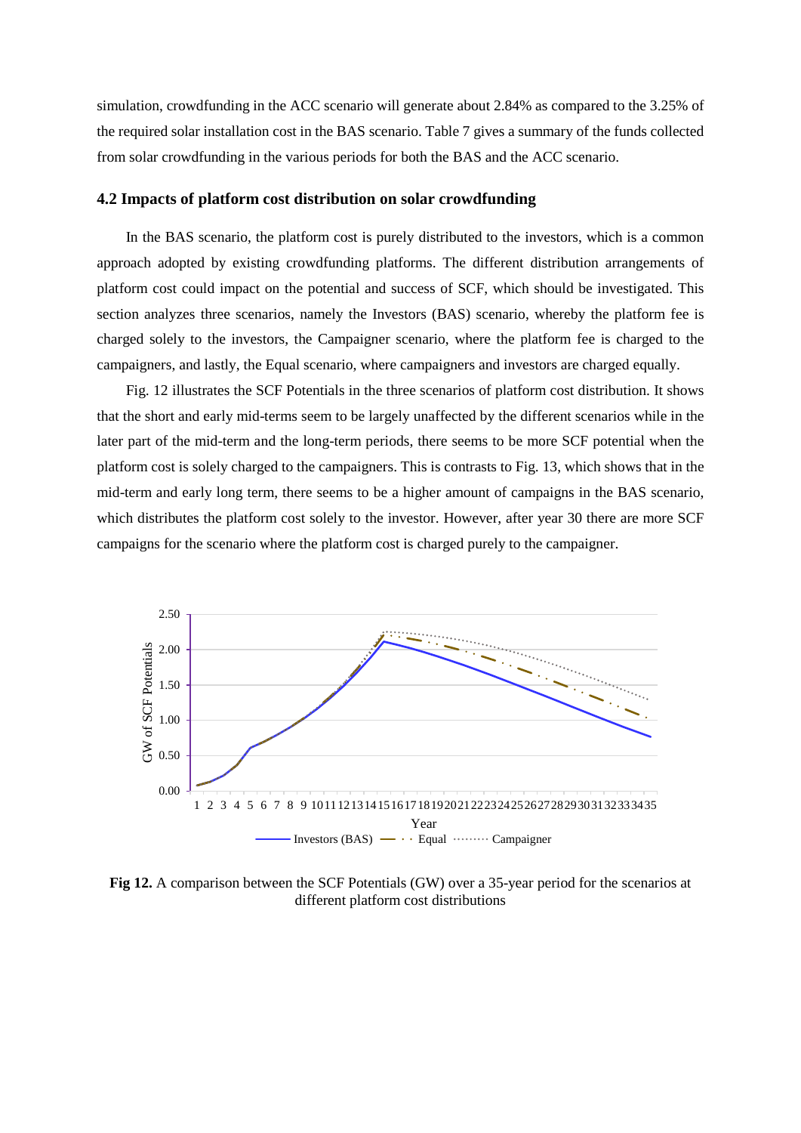simulation, crowdfunding in the ACC scenario will generate about 2.84% as compared to the 3.25% of the required solar installation cost in the BAS scenario. Table 7 gives a summary of the funds collected from solar crowdfunding in the various periods for both the BAS and the ACC scenario.

#### **4.2 Impacts of platform cost distribution on solar crowdfunding**

In the BAS scenario, the platform cost is purely distributed to the investors, which is a common approach adopted by existing crowdfunding platforms. The different distribution arrangements of platform cost could impact on the potential and success of SCF, which should be investigated. This section analyzes three scenarios, namely the Investors (BAS) scenario, whereby the platform fee is charged solely to the investors, the Campaigner scenario, where the platform fee is charged to the campaigners, and lastly, the Equal scenario, where campaigners and investors are charged equally.

Fig. 12 illustrates the SCF Potentials in the three scenarios of platform cost distribution. It shows that the short and early mid-terms seem to be largely unaffected by the different scenarios while in the later part of the mid-term and the long-term periods, there seems to be more SCF potential when the platform cost is solely charged to the campaigners. This is contrasts to Fig. 13, which shows that in the mid-term and early long term, there seems to be a higher amount of campaigns in the BAS scenario, which distributes the platform cost solely to the investor. However, after year 30 there are more SCF campaigns for the scenario where the platform cost is charged purely to the campaigner.



**Fig 12.** A comparison between the SCF Potentials (GW) over a 35-year period for the scenarios at different platform cost distributions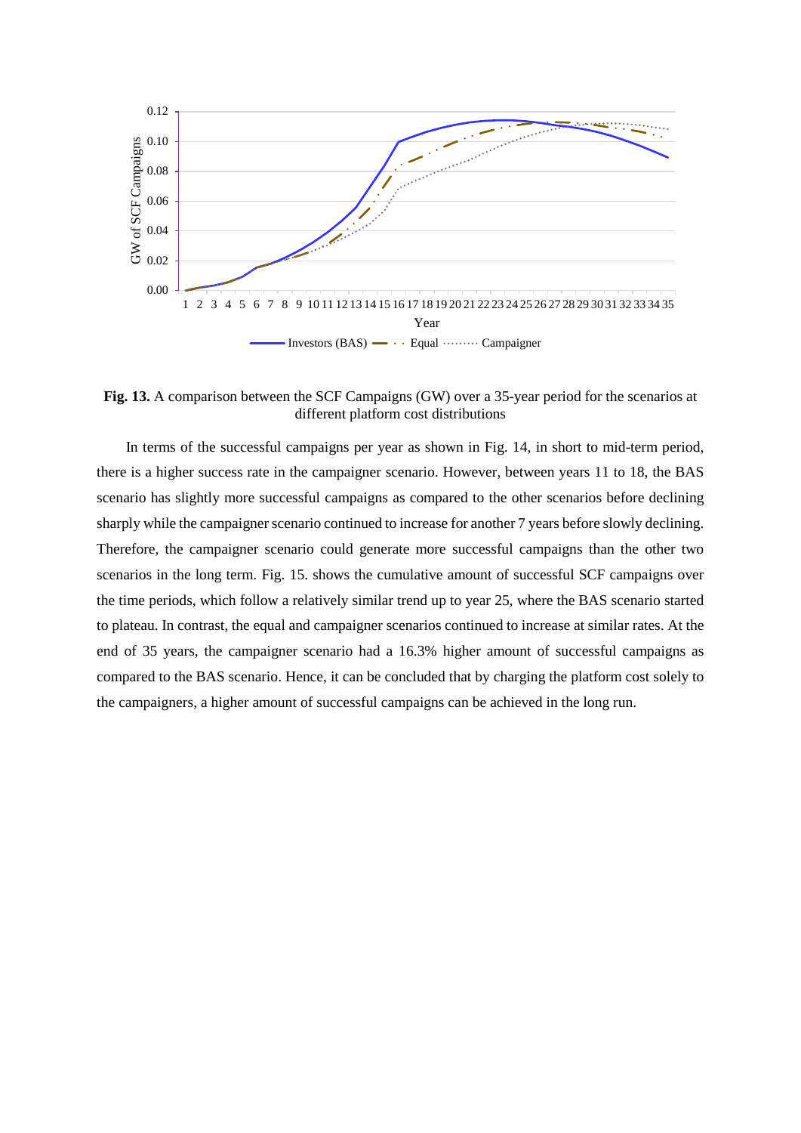

**Fig. 13.** A comparison between the SCF Campaigns (GW) over a 35-year period for the scenarios at different platform cost distributions

In terms of the successful campaigns per year as shown in Fig. 14, in short to mid-term period, there is a higher success rate in the campaigner scenario. However, between years 11 to 18, the BAS scenario has slightly more successful campaigns as compared to the other scenarios before declining sharply while the campaigner scenario continued to increase for another 7 years before slowly declining. Therefore, the campaigner scenario could generate more successful campaigns than the other two scenarios in the long term. Fig. 15. shows the cumulative amount of successful SCF campaigns over the time periods, which follow a relatively similar trend up to year 25, where the BAS scenario started to plateau. In contrast, the equal and campaigner scenarios continued to increase at similar rates. At the end of 35 years, the campaigner scenario had a 16.3% higher amount of successful campaigns as compared to the BAS scenario. Hence, it can be concluded that by charging the platform cost solely to the campaigners, a higher amount of successful campaigns can be achieved in the long run.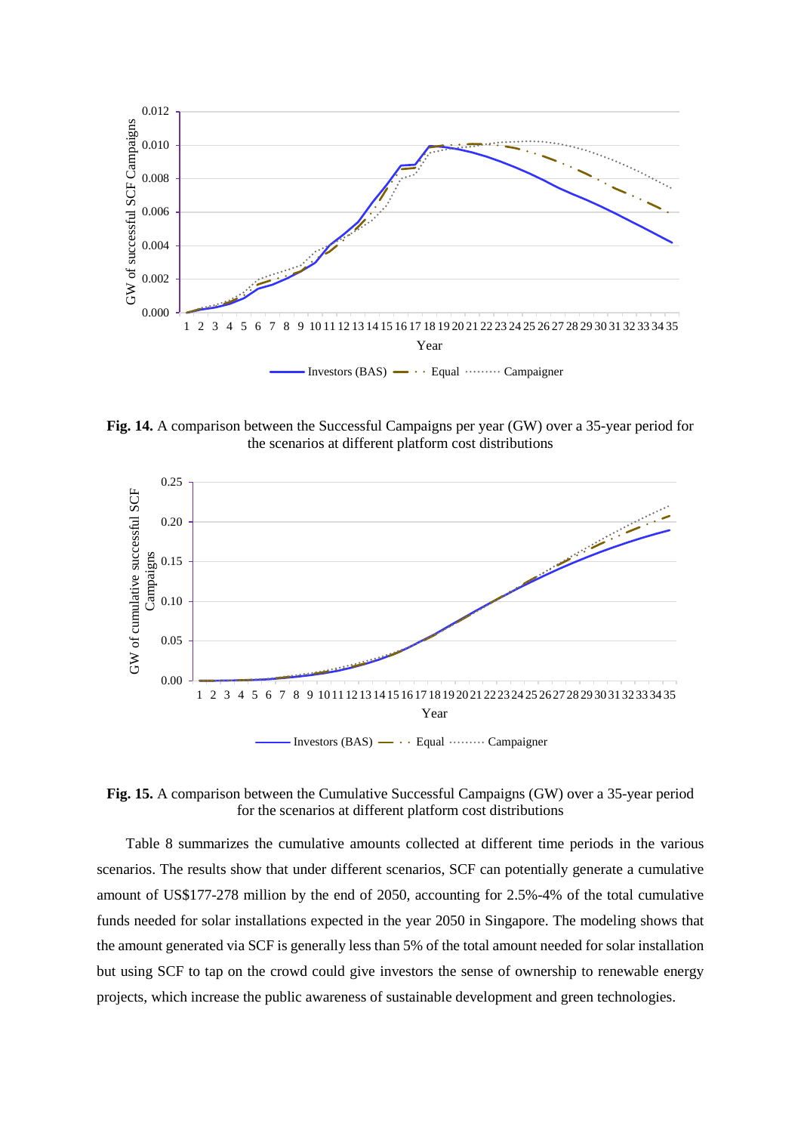

**Fig. 14.** A comparison between the Successful Campaigns per year (GW) over a 35-year period for the scenarios at different platform cost distributions



**Fig. 15.** A comparison between the Cumulative Successful Campaigns (GW) over a 35-year period for the scenarios at different platform cost distributions

Table 8 summarizes the cumulative amounts collected at different time periods in the various scenarios. The results show that under different scenarios, SCF can potentially generate a cumulative amount of US\$177-278 million by the end of 2050, accounting for 2.5%-4% of the total cumulative funds needed for solar installations expected in the year 2050 in Singapore. The modeling shows that the amount generated via SCF is generally less than 5% of the total amount needed for solar installation but using SCF to tap on the crowd could give investors the sense of ownership to renewable energy projects, which increase the public awareness of sustainable development and green technologies.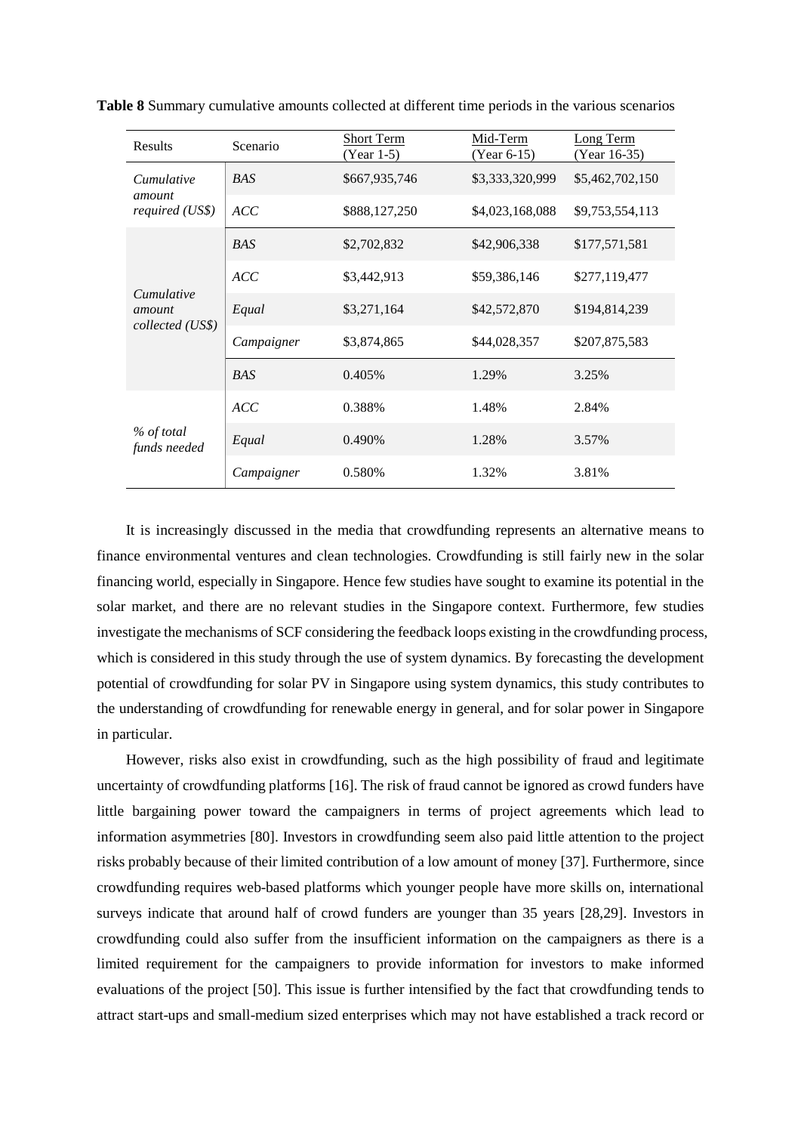| <b>Results</b>                                  | Scenario   | <b>Short Term</b><br>(Year 1-5) | Mid-Term<br>$(Year 6-15)$ | Long Term<br>(Year 16-35) |
|-------------------------------------------------|------------|---------------------------------|---------------------------|---------------------------|
| <i>Cumulative</i><br>amount<br>required (US\$)  | <b>BAS</b> | \$667,935,746                   | \$3,333,320,999           | \$5,462,702,150           |
|                                                 | <b>ACC</b> | \$888,127,250                   | \$4,023,168,088           | \$9,753,554,113           |
|                                                 | <b>BAS</b> | \$2,702,832                     | \$42,906,338              | \$177,571,581             |
| <i>Cumulative</i><br>amount<br>collected (US\$) | ACC        | \$3,442,913                     | \$59,386,146              | \$277,119,477             |
|                                                 | Equal      | \$3,271,164                     | \$42,572,870              | \$194,814,239             |
|                                                 | Campaigner | \$3,874,865                     | \$44,028,357              | \$207,875,583             |
|                                                 | <b>BAS</b> | 0.405%                          | 1.29%                     | 3.25%                     |
| % of total<br>funds needed                      | ACC        | 0.388%                          | 1.48%                     | 2.84%                     |
|                                                 | Equal      | 0.490%                          | 1.28%                     | 3.57%                     |
|                                                 | Campaigner | 0.580%                          | 1.32%                     | 3.81%                     |

**Table 8** Summary cumulative amounts collected at different time periods in the various scenarios

It is increasingly discussed in the media that crowdfunding represents an alternative means to finance environmental ventures and clean technologies. Crowdfunding is still fairly new in the solar financing world, especially in Singapore. Hence few studies have sought to examine its potential in the solar market, and there are no relevant studies in the Singapore context. Furthermore, few studies investigate the mechanisms of SCF considering the feedback loops existing in the crowdfunding process, which is considered in this study through the use of system dynamics. By forecasting the development potential of crowdfunding for solar PV in Singapore using system dynamics, this study contributes to the understanding of crowdfunding for renewable energy in general, and for solar power in Singapore in particular.

However, risks also exist in crowdfunding, such as the high possibility of fraud and legitimate uncertainty of crowdfunding platforms [16]. The risk of fraud cannot be ignored as crowd funders have little bargaining power toward the campaigners in terms of project agreements which lead to information asymmetries [80]. Investors in crowdfunding seem also paid little attention to the project risks probably because of their limited contribution of a low amount of money [37]. Furthermore, since crowdfunding requires web-based platforms which younger people have more skills on, international surveys indicate that around half of crowd funders are younger than 35 years [28,29]. Investors in crowdfunding could also suffer from the insufficient information on the campaigners as there is a limited requirement for the campaigners to provide information for investors to make informed evaluations of the project [50]. This issue is further intensified by the fact that crowdfunding tends to attract start-ups and small-medium sized enterprises which may not have established a track record or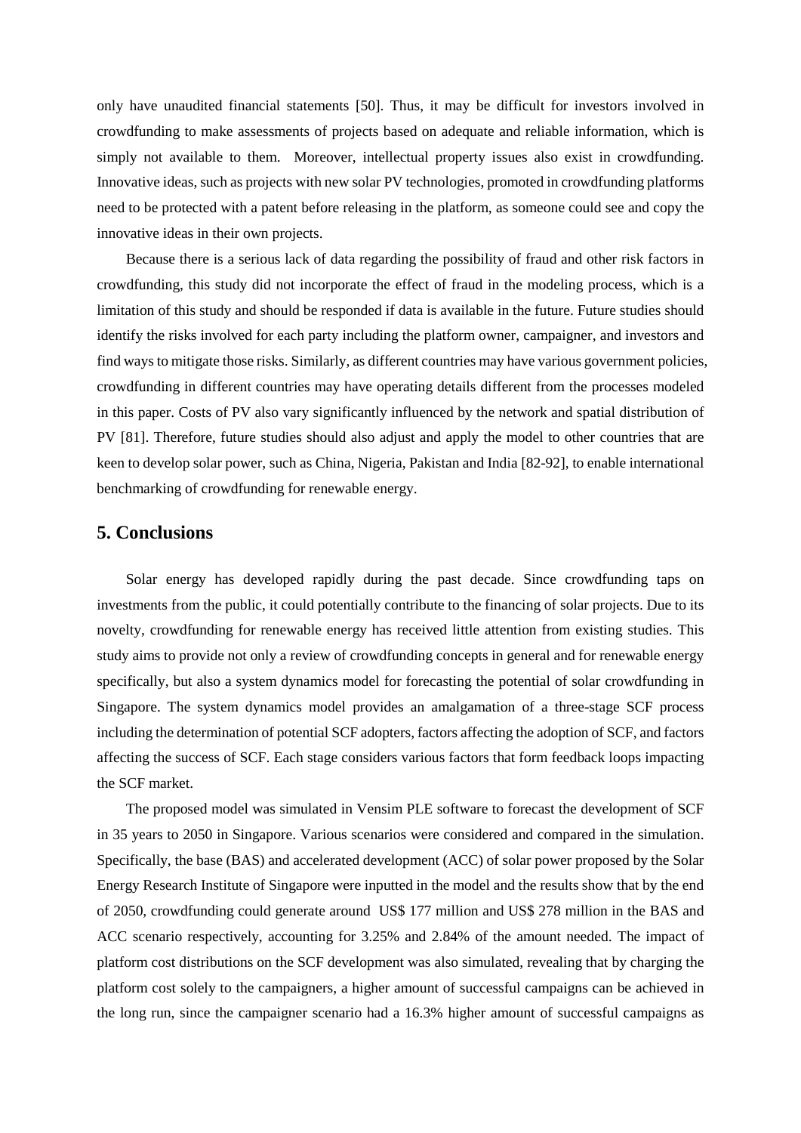only have unaudited financial statements [50]. Thus, it may be difficult for investors involved in crowdfunding to make assessments of projects based on adequate and reliable information, which is simply not available to them. Moreover, intellectual property issues also exist in crowdfunding. Innovative ideas, such as projects with new solar PV technologies, promoted in crowdfunding platforms need to be protected with a patent before releasing in the platform, as someone could see and copy the innovative ideas in their own projects.

Because there is a serious lack of data regarding the possibility of fraud and other risk factors in crowdfunding, this study did not incorporate the effect of fraud in the modeling process, which is a limitation of this study and should be responded if data is available in the future. Future studies should identify the risks involved for each party including the platform owner, campaigner, and investors and find ways to mitigate those risks. Similarly, as different countries may have various government policies, crowdfunding in different countries may have operating details different from the processes modeled in this paper. Costs of PV also vary significantly influenced by the network and spatial distribution of PV [81]. Therefore, future studies should also adjust and apply the model to other countries that are keen to develop solar power, such as China, Nigeria, Pakistan and India [82-92], to enable international benchmarking of crowdfunding for renewable energy.

### **5. Conclusions**

Solar energy has developed rapidly during the past decade. Since crowdfunding taps on investments from the public, it could potentially contribute to the financing of solar projects. Due to its novelty, crowdfunding for renewable energy has received little attention from existing studies. This study aims to provide not only a review of crowdfunding concepts in general and for renewable energy specifically, but also a system dynamics model for forecasting the potential of solar crowdfunding in Singapore. The system dynamics model provides an amalgamation of a three-stage SCF process including the determination of potential SCF adopters, factors affecting the adoption of SCF, and factors affecting the success of SCF. Each stage considers various factors that form feedback loops impacting the SCF market.

The proposed model was simulated in Vensim PLE software to forecast the development of SCF in 35 years to 2050 in Singapore. Various scenarios were considered and compared in the simulation. Specifically, the base (BAS) and accelerated development (ACC) of solar power proposed by the Solar Energy Research Institute of Singapore were inputted in the model and the results show that by the end of 2050, crowdfunding could generate around US\$ 177 million and US\$ 278 million in the BAS and ACC scenario respectively, accounting for 3.25% and 2.84% of the amount needed. The impact of platform cost distributions on the SCF development was also simulated, revealing that by charging the platform cost solely to the campaigners, a higher amount of successful campaigns can be achieved in the long run, since the campaigner scenario had a 16.3% higher amount of successful campaigns as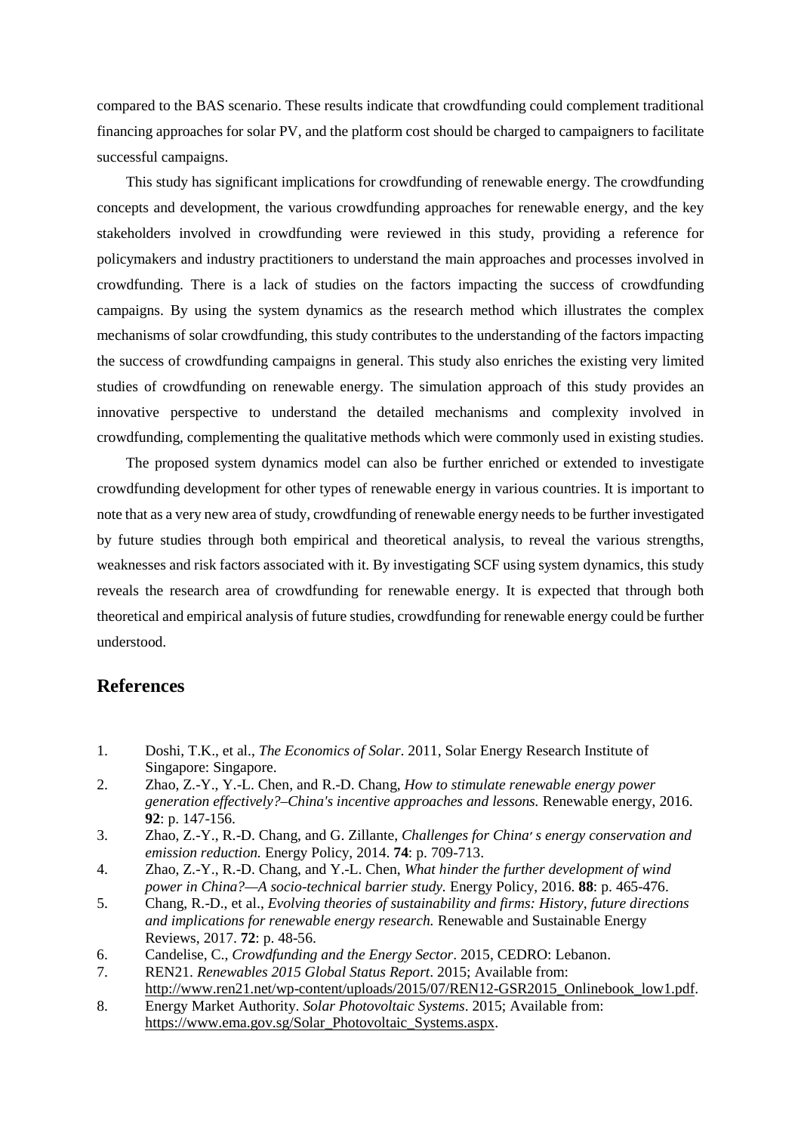compared to the BAS scenario. These results indicate that crowdfunding could complement traditional financing approaches for solar PV, and the platform cost should be charged to campaigners to facilitate successful campaigns.

This study has significant implications for crowdfunding of renewable energy. The crowdfunding concepts and development, the various crowdfunding approaches for renewable energy, and the key stakeholders involved in crowdfunding were reviewed in this study, providing a reference for policymakers and industry practitioners to understand the main approaches and processes involved in crowdfunding. There is a lack of studies on the factors impacting the success of crowdfunding campaigns. By using the system dynamics as the research method which illustrates the complex mechanisms of solar crowdfunding, this study contributes to the understanding of the factors impacting the success of crowdfunding campaigns in general. This study also enriches the existing very limited studies of crowdfunding on renewable energy. The simulation approach of this study provides an innovative perspective to understand the detailed mechanisms and complexity involved in crowdfunding, complementing the qualitative methods which were commonly used in existing studies.

The proposed system dynamics model can also be further enriched or extended to investigate crowdfunding development for other types of renewable energy in various countries. It is important to note that as a very new area of study, crowdfunding of renewable energy needs to be further investigated by future studies through both empirical and theoretical analysis, to reveal the various strengths, weaknesses and risk factors associated with it. By investigating SCF using system dynamics, this study reveals the research area of crowdfunding for renewable energy. It is expected that through both theoretical and empirical analysis of future studies, crowdfunding for renewable energy could be further understood.

## **References**

- 1. Doshi, T.K., et al., *The Economics of Solar*. 2011, Solar Energy Research Institute of Singapore: Singapore.
- 2. Zhao, Z.-Y., Y.-L. Chen, and R.-D. Chang, *How to stimulate renewable energy power generation effectively?–China's incentive approaches and lessons.* Renewable energy, 2016. **92**: p. 147-156.
- 3. Zhao, Z.-Y., R.-D. Chang, and G. Zillante, *Challenges for China׳ s energy conservation and emission reduction.* Energy Policy, 2014. **74**: p. 709-713.
- 4. Zhao, Z.-Y., R.-D. Chang, and Y.-L. Chen, *What hinder the further development of wind power in China?—A socio-technical barrier study.* Energy Policy, 2016. **88**: p. 465-476.
- 5. Chang, R.-D., et al., *Evolving theories of sustainability and firms: History, future directions and implications for renewable energy research.* Renewable and Sustainable Energy Reviews, 2017. **72**: p. 48-56.
- 6. Candelise, C., *Crowdfunding and the Energy Sector*. 2015, CEDRO: Lebanon.
- 7. REN21. *Renewables 2015 Global Status Report*. 2015; Available from: http://www.ren21.net/wp-content/uploads/2015/07/REN12-GSR2015\_Onlinebook\_low1.pdf.
- 8. Energy Market Authority. *Solar Photovoltaic Systems*. 2015; Available from: https://www.ema.gov.sg/Solar\_Photovoltaic\_Systems.aspx.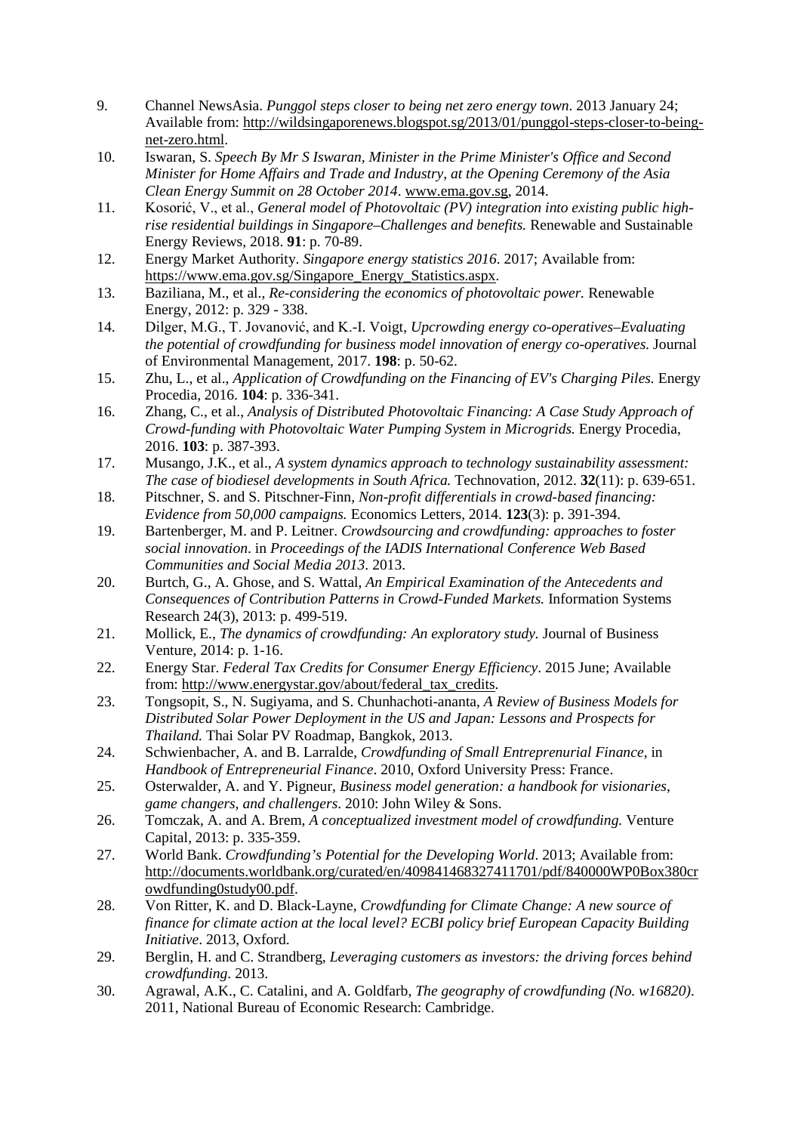- 9. Channel NewsAsia. *Punggol steps closer to being net zero energy town*. 2013 January 24; Available from: http://wildsingaporenews.blogspot.sg/2013/01/punggol-steps-closer-to-beingnet-zero.html.
- 10. Iswaran, S. *Speech By Mr S Iswaran, Minister in the Prime Minister's Office and Second Minister for Home Affairs and Trade and Industry, at the Opening Ceremony of the Asia Clean Energy Summit on 28 October 2014*. www.ema.gov.sg, 2014.
- 11. Kosorić, V., et al., *General model of Photovoltaic (PV) integration into existing public highrise residential buildings in Singapore–Challenges and benefits.* Renewable and Sustainable Energy Reviews, 2018. **91**: p. 70-89.
- 12. Energy Market Authority. *Singapore energy statistics 2016*. 2017; Available from: https://www.ema.gov.sg/Singapore\_Energy\_Statistics.aspx.
- 13. Baziliana, M., et al., *Re-considering the economics of photovoltaic power.* Renewable Energy, 2012: p. 329 - 338.
- 14. Dilger, M.G., T. Jovanović, and K.-I. Voigt, *Upcrowding energy co-operatives–Evaluating the potential of crowdfunding for business model innovation of energy co-operatives.* Journal of Environmental Management, 2017. **198**: p. 50-62.
- 15. Zhu, L., et al., *Application of Crowdfunding on the Financing of EV's Charging Piles.* Energy Procedia, 2016. **104**: p. 336-341.
- 16. Zhang, C., et al., *Analysis of Distributed Photovoltaic Financing: A Case Study Approach of Crowd-funding with Photovoltaic Water Pumping System in Microgrids.* Energy Procedia, 2016. **103**: p. 387-393.
- 17. Musango, J.K., et al., *A system dynamics approach to technology sustainability assessment: The case of biodiesel developments in South Africa.* Technovation, 2012. **32**(11): p. 639-651.
- 18. Pitschner, S. and S. Pitschner-Finn, *Non-profit differentials in crowd-based financing: Evidence from 50,000 campaigns.* Economics Letters, 2014. **123**(3): p. 391-394.
- 19. Bartenberger, M. and P. Leitner. *Crowdsourcing and crowdfunding: approaches to foster social innovation*. in *Proceedings of the IADIS International Conference Web Based Communities and Social Media 2013*. 2013.
- 20. Burtch, G., A. Ghose, and S. Wattal, *An Empirical Examination of the Antecedents and Consequences of Contribution Patterns in Crowd-Funded Markets.* Information Systems Research 24(3), 2013: p. 499-519.
- 21. Mollick, E., *The dynamics of crowdfunding: An exploratory study.* Journal of Business Venture, 2014: p. 1-16.
- 22. Energy Star. *Federal Tax Credits for Consumer Energy Efficiency*. 2015 June; Available from: http://www.energystar.gov/about/federal\_tax\_credits.
- 23. Tongsopit, S., N. Sugiyama, and S. Chunhachoti-ananta, *A Review of Business Models for Distributed Solar Power Deployment in the US and Japan: Lessons and Prospects for Thailand.* Thai Solar PV Roadmap, Bangkok, 2013.
- 24. Schwienbacher, A. and B. Larralde, *Crowdfunding of Small Entreprenurial Finance*, in *Handbook of Entrepreneurial Finance*. 2010, Oxford University Press: France.
- 25. Osterwalder, A. and Y. Pigneur, *Business model generation: a handbook for visionaries, game changers, and challengers*. 2010: John Wiley & Sons.
- 26. Tomczak, A. and A. Brem, *A conceptualized investment model of crowdfunding.* Venture Capital, 2013: p. 335-359.
- 27. World Bank. *Crowdfunding's Potential for the Developing World*. 2013; Available from: http://documents.worldbank.org/curated/en/409841468327411701/pdf/840000WP0Box380cr owdfunding0study00.pdf.
- 28. Von Ritter, K. and D. Black-Layne, *Crowdfunding for Climate Change: A new source of finance for climate action at the local level? ECBI policy brief European Capacity Building Initiative*. 2013, Oxford.
- 29. Berglin, H. and C. Strandberg, *Leveraging customers as investors: the driving forces behind crowdfunding*. 2013.
- 30. Agrawal, A.K., C. Catalini, and A. Goldfarb, *The geography of crowdfunding (No. w16820)*. 2011, National Bureau of Economic Research: Cambridge.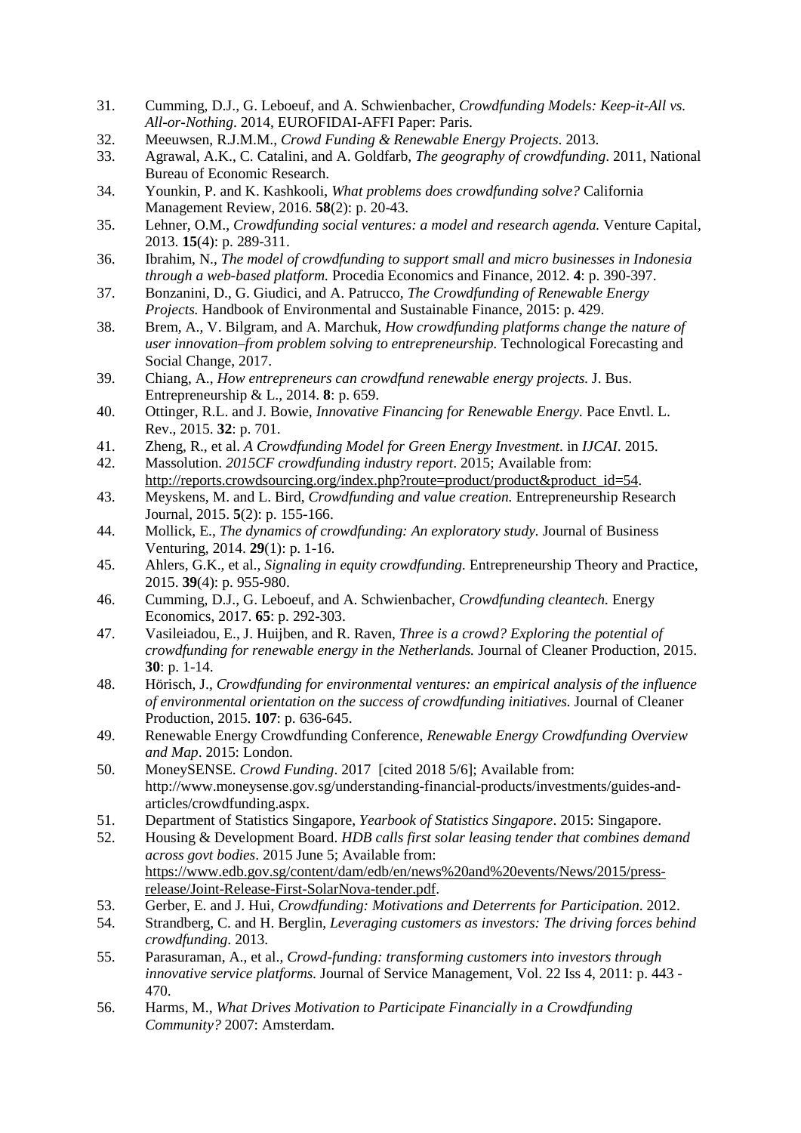- 31. Cumming, D.J., G. Leboeuf, and A. Schwienbacher, *Crowdfunding Models: Keep-it-All vs. All-or-Nothing*. 2014, EUROFIDAI-AFFI Paper: Paris.
- 32. Meeuwsen, R.J.M.M., *Crowd Funding & Renewable Energy Projects*. 2013.
- 33. Agrawal, A.K., C. Catalini, and A. Goldfarb, *The geography of crowdfunding*. 2011, National Bureau of Economic Research.
- 34. Younkin, P. and K. Kashkooli, *What problems does crowdfunding solve?* California Management Review, 2016. **58**(2): p. 20-43.
- 35. Lehner, O.M., *Crowdfunding social ventures: a model and research agenda.* Venture Capital, 2013. **15**(4): p. 289-311.
- 36. Ibrahim, N., *The model of crowdfunding to support small and micro businesses in Indonesia through a web-based platform.* Procedia Economics and Finance, 2012. **4**: p. 390-397.
- 37. Bonzanini, D., G. Giudici, and A. Patrucco, *The Crowdfunding of Renewable Energy Projects.* Handbook of Environmental and Sustainable Finance, 2015: p. 429.
- 38. Brem, A., V. Bilgram, and A. Marchuk, *How crowdfunding platforms change the nature of user innovation–from problem solving to entrepreneurship.* Technological Forecasting and Social Change, 2017.
- 39. Chiang, A., *How entrepreneurs can crowdfund renewable energy projects.* J. Bus. Entrepreneurship & L., 2014. **8**: p. 659.
- 40. Ottinger, R.L. and J. Bowie, *Innovative Financing for Renewable Energy.* Pace Envtl. L. Rev., 2015. **32**: p. 701.
- 41. Zheng, R., et al. *A Crowdfunding Model for Green Energy Investment*. in *IJCAI*. 2015.
- 42. Massolution. *2015CF crowdfunding industry report*. 2015; Available from: http://reports.crowdsourcing.org/index.php?route=product/product&product\_id=54.
- 43. Meyskens, M. and L. Bird, *Crowdfunding and value creation.* Entrepreneurship Research Journal, 2015. **5**(2): p. 155-166.
- 44. Mollick, E., *The dynamics of crowdfunding: An exploratory study.* Journal of Business Venturing, 2014. **29**(1): p. 1-16.
- 45. Ahlers, G.K., et al., *Signaling in equity crowdfunding.* Entrepreneurship Theory and Practice, 2015. **39**(4): p. 955-980.
- 46. Cumming, D.J., G. Leboeuf, and A. Schwienbacher, *Crowdfunding cleantech.* Energy Economics, 2017. **65**: p. 292-303.
- 47. Vasileiadou, E., J. Huijben, and R. Raven, *Three is a crowd? Exploring the potential of crowdfunding for renewable energy in the Netherlands.* Journal of Cleaner Production, 2015. **30**: p. 1-14.
- 48. Hörisch, J., *Crowdfunding for environmental ventures: an empirical analysis of the influence of environmental orientation on the success of crowdfunding initiatives.* Journal of Cleaner Production, 2015. **107**: p. 636-645.
- 49. Renewable Energy Crowdfunding Conference, *Renewable Energy Crowdfunding Overview and Map*. 2015: London.
- 50. MoneySENSE. *Crowd Funding*. 2017 [cited 2018 5/6]; Available from: http://www.moneysense.gov.sg/understanding-financial-products/investments/guides-andarticles/crowdfunding.aspx.
- 51. Department of Statistics Singapore, *Yearbook of Statistics Singapore*. 2015: Singapore.
- 52. Housing & Development Board. *HDB calls first solar leasing tender that combines demand across govt bodies*. 2015 June 5; Available from: https://www.edb.gov.sg/content/dam/edb/en/news%20and%20events/News/2015/pressrelease/Joint-Release-First-SolarNova-tender.pdf.
- 53. Gerber, E. and J. Hui, *Crowdfunding: Motivations and Deterrents for Participation*. 2012.
- 54. Strandberg, C. and H. Berglin, *Leveraging customers as investors: The driving forces behind crowdfunding*. 2013.
- 55. Parasuraman, A., et al., *Crowd-funding: transforming customers into investors through innovative service platforms.* Journal of Service Management, Vol. 22 Iss 4, 2011: p. 443 -470.
- 56. Harms, M., *What Drives Motivation to Participate Financially in a Crowdfunding Community?* 2007: Amsterdam.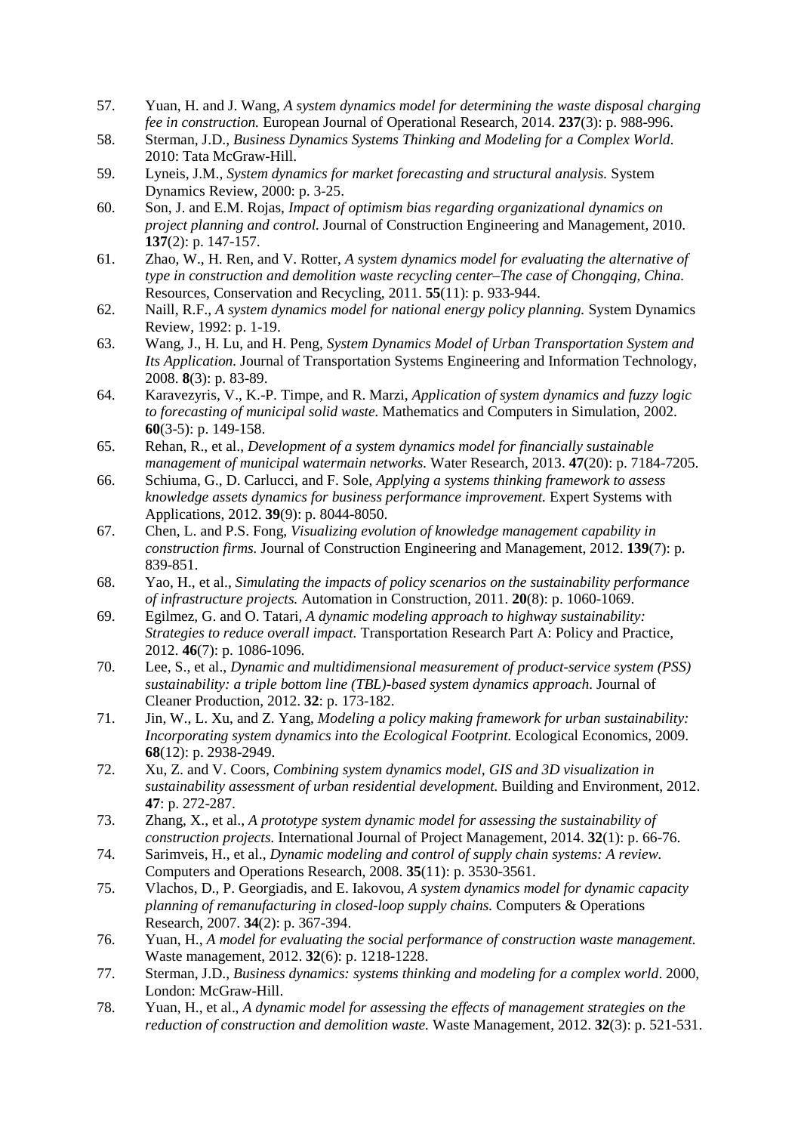- 57. Yuan, H. and J. Wang, *A system dynamics model for determining the waste disposal charging fee in construction.* European Journal of Operational Research, 2014. **237**(3): p. 988-996.
- 58. Sterman, J.D., *Business Dynamics Systems Thinking and Modeling for a Complex World*. 2010: Tata McGraw-Hill.
- 59. Lyneis, J.M., *System dynamics for market forecasting and structural analysis.* System Dynamics Review, 2000: p. 3-25.
- 60. Son, J. and E.M. Rojas, *Impact of optimism bias regarding organizational dynamics on project planning and control.* Journal of Construction Engineering and Management, 2010. **137**(2): p. 147-157.
- 61. Zhao, W., H. Ren, and V. Rotter, *A system dynamics model for evaluating the alternative of type in construction and demolition waste recycling center–The case of Chongaing, China.* Resources, Conservation and Recycling, 2011. **55**(11): p. 933-944.
- 62. Naill, R.F., *A system dynamics model for national energy policy planning.* System Dynamics Review, 1992: p. 1-19.
- 63. Wang, J., H. Lu, and H. Peng, *System Dynamics Model of Urban Transportation System and Its Application.* Journal of Transportation Systems Engineering and Information Technology, 2008. **8**(3): p. 83-89.
- 64. Karavezyris, V., K.-P. Timpe, and R. Marzi, *Application of system dynamics and fuzzy logic to forecasting of municipal solid waste.* Mathematics and Computers in Simulation, 2002. **60**(3-5): p. 149-158.
- 65. Rehan, R., et al., *Development of a system dynamics model for financially sustainable management of municipal watermain networks.* Water Research, 2013. **47**(20): p. 7184-7205.
- 66. Schiuma, G., D. Carlucci, and F. Sole, *Applying a systems thinking framework to assess knowledge assets dynamics for business performance improvement.* Expert Systems with Applications, 2012. **39**(9): p. 8044-8050.
- 67. Chen, L. and P.S. Fong, *Visualizing evolution of knowledge management capability in construction firms.* Journal of Construction Engineering and Management, 2012. **139**(7): p. 839-851.
- 68. Yao, H., et al., *Simulating the impacts of policy scenarios on the sustainability performance of infrastructure projects.* Automation in Construction, 2011. **20**(8): p. 1060-1069.
- 69. Egilmez, G. and O. Tatari, *A dynamic modeling approach to highway sustainability: Strategies to reduce overall impact.* Transportation Research Part A: Policy and Practice, 2012. **46**(7): p. 1086-1096.
- 70. Lee, S., et al., *Dynamic and multidimensional measurement of product-service system (PSS) sustainability: a triple bottom line (TBL)-based system dynamics approach.* Journal of Cleaner Production, 2012. **32**: p. 173-182.
- 71. Jin, W., L. Xu, and Z. Yang, *Modeling a policy making framework for urban sustainability: Incorporating system dynamics into the Ecological Footprint.* Ecological Economics, 2009. **68**(12): p. 2938-2949.
- 72. Xu, Z. and V. Coors, *Combining system dynamics model, GIS and 3D visualization in sustainability assessment of urban residential development.* Building and Environment, 2012. **47**: p. 272-287.
- 73. Zhang, X., et al., *A prototype system dynamic model for assessing the sustainability of construction projects.* International Journal of Project Management, 2014. **32**(1): p. 66-76.
- 74. Sarimveis, H., et al., *Dynamic modeling and control of supply chain systems: A review.* Computers and Operations Research, 2008. **35**(11): p. 3530-3561.
- 75. Vlachos, D., P. Georgiadis, and E. Iakovou, *A system dynamics model for dynamic capacity planning of remanufacturing in closed-loop supply chains.* Computers & Operations Research, 2007. **34**(2): p. 367-394.
- 76. Yuan, H., *A model for evaluating the social performance of construction waste management.* Waste management, 2012. **32**(6): p. 1218-1228.
- 77. Sterman, J.D., *Business dynamics: systems thinking and modeling for a complex world*. 2000, London: McGraw-Hill.
- 78. Yuan, H., et al., *A dynamic model for assessing the effects of management strategies on the reduction of construction and demolition waste.* Waste Management, 2012. **32**(3): p. 521-531.